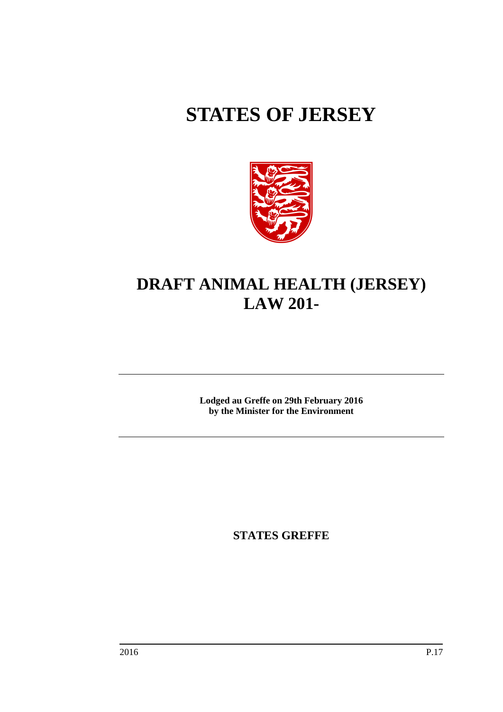# **STATES OF JERSEY**



# **DRAFT ANIMAL HEALTH (JERSEY) LAW 201-**

**Lodged au Greffe on 29th February 2016 by the Minister for the Environment**

**STATES GREFFE**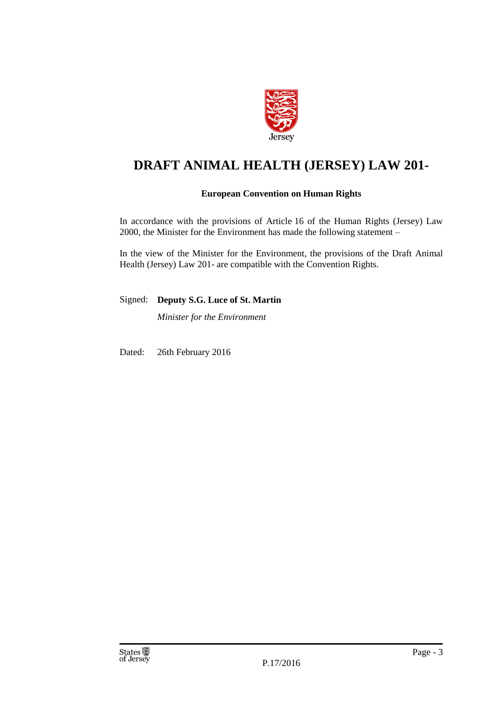

# **DRAFT ANIMAL HEALTH (JERSEY) LAW 201-**

## **European Convention on Human Rights**

In accordance with the provisions of Article 16 of the Human Rights (Jersey) Law 2000, the Minister for the Environment has made the following statement –

In the view of the Minister for the Environment, the provisions of the Draft Animal Health (Jersey) Law 201- are compatible with the Convention Rights.

Signed: **Deputy S.G. Luce of St. Martin**

*Minister for the Environment*

Dated: 26th February 2016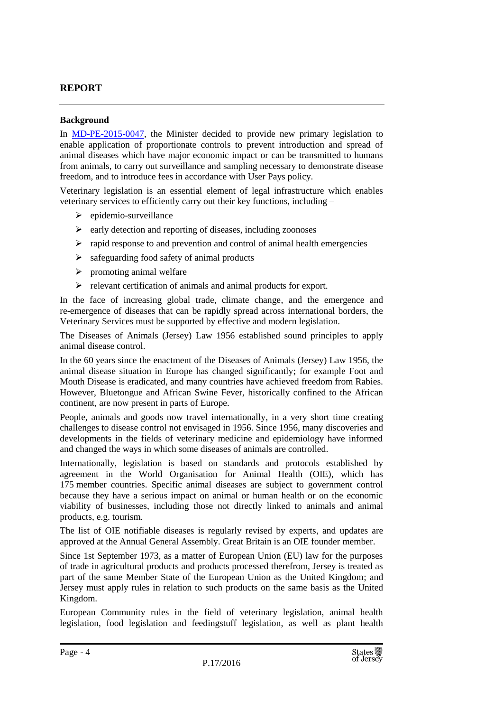## **REPORT**

## **Background**

In [MD-PE-2015-0047,](http://www.gov.je/government/planningperformance/pages/ministerialdecisions.aspx?docid=a41b000ea666d2e49ed0c762dc95a12b_MDs2013) the Minister decided to provide new primary legislation to enable application of proportionate controls to prevent introduction and spread of animal diseases which have major economic impact or can be transmitted to humans from animals, to carry out surveillance and sampling necessary to demonstrate disease freedom, and to introduce fees in accordance with User Pays policy.

Veterinary legislation is an essential element of legal infrastructure which enables veterinary services to efficiently carry out their key functions, including –

- $\triangleright$  epidemio-surveillance
- $\triangleright$  early detection and reporting of diseases, including zoonoses
- $\triangleright$  rapid response to and prevention and control of animal health emergencies
- $\triangleright$  safeguarding food safety of animal products
- $\triangleright$  promoting animal welfare
- relevant certification of animals and animal products for export.

In the face of increasing global trade, climate change, and the emergence and re-emergence of diseases that can be rapidly spread across international borders, the Veterinary Services must be supported by effective and modern legislation.

The Diseases of Animals (Jersey) Law 1956 established sound principles to apply animal disease control.

In the 60 years since the enactment of the Diseases of Animals (Jersey) Law 1956, the animal disease situation in Europe has changed significantly; for example Foot and Mouth Disease is eradicated, and many countries have achieved freedom from Rabies. However, Bluetongue and African Swine Fever, historically confined to the African continent, are now present in parts of Europe.

People, animals and goods now travel internationally, in a very short time creating challenges to disease control not envisaged in 1956. Since 1956, many discoveries and developments in the fields of veterinary medicine and epidemiology have informed and changed the ways in which some diseases of animals are controlled.

Internationally, legislation is based on standards and protocols established by agreement in the World Organisation for Animal Health (OIE), which has 175 member countries. Specific animal diseases are subject to government control because they have a serious impact on animal or human health or on the economic viability of businesses, including those not directly linked to animals and animal products, e.g. tourism.

The list of OIE notifiable diseases is regularly revised by experts, and updates are approved at the Annual General Assembly. Great Britain is an OIE founder member.

Since 1st September 1973, as a matter of European Union (EU) law for the purposes of trade in agricultural products and products processed therefrom, Jersey is treated as part of the same Member State of the European Union as the United Kingdom; and Jersey must apply rules in relation to such products on the same basis as the United Kingdom.

European Community rules in the field of veterinary legislation, animal health legislation, food legislation and feedingstuff legislation, as well as plant health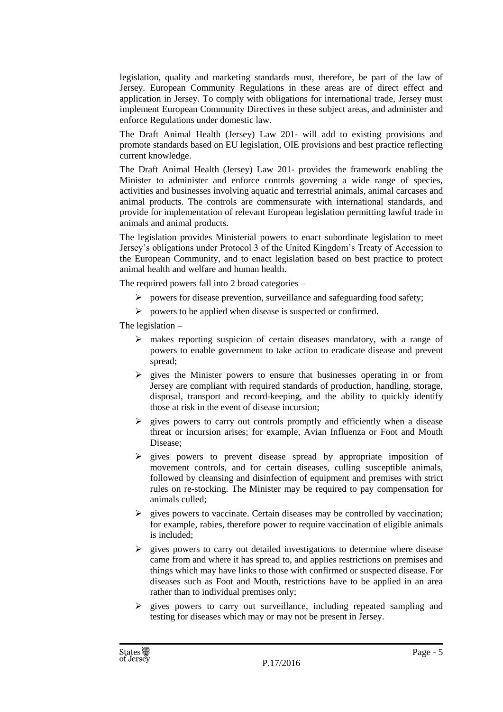legislation, quality and marketing standards must, therefore, be part of the law of Jersey. European Community Regulations in these areas are of direct effect and application in Jersey. To comply with obligations for international trade, Jersey must implement European Community Directives in these subject areas, and administer and enforce Regulations under domestic law.

The Draft Animal Health (Jersey) Law 201- will add to existing provisions and promote standards based on EU legislation, OIE provisions and best practice reflecting current knowledge.

The Draft Animal Health (Jersey) Law 201- provides the framework enabling the Minister to administer and enforce controls governing a wide range of species, activities and businesses involving aquatic and terrestrial animals, animal carcases and animal products. The controls are commensurate with international standards, and provide for implementation of relevant European legislation permitting lawful trade in animals and animal products.

The legislation provides Ministerial powers to enact subordinate legislation to meet Jersey's obligations under Protocol 3 of the United Kingdom's Treaty of Accession to the European Community, and to enact legislation based on best practice to protect animal health and welfare and human health.

The required powers fall into 2 broad categories –

- $\triangleright$  powers for disease prevention, surveillance and safeguarding food safety;
- $\triangleright$  powers to be applied when disease is suspected or confirmed.

The legislation –

- $\triangleright$  makes reporting suspicion of certain diseases mandatory, with a range of powers to enable government to take action to eradicate disease and prevent spread;
- $\triangleright$  gives the Minister powers to ensure that businesses operating in or from Jersey are compliant with required standards of production, handling, storage, disposal, transport and record-keeping, and the ability to quickly identify those at risk in the event of disease incursion;
- $\triangleright$  gives powers to carry out controls promptly and efficiently when a disease threat or incursion arises; for example, Avian Influenza or Foot and Mouth Disease;
- $\triangleright$  gives powers to prevent disease spread by appropriate imposition of movement controls, and for certain diseases, culling susceptible animals, followed by cleansing and disinfection of equipment and premises with strict rules on re-stocking. The Minister may be required to pay compensation for animals culled;
- $\triangleright$  gives powers to vaccinate. Certain diseases may be controlled by vaccination; for example, rabies, therefore power to require vaccination of eligible animals is included;
- $\triangleright$  gives powers to carry out detailed investigations to determine where disease came from and where it has spread to, and applies restrictions on premises and things which may have links to those with confirmed or suspected disease. For diseases such as Foot and Mouth, restrictions have to be applied in an area rather than to individual premises only;
- $\triangleright$  gives powers to carry out surveillance, including repeated sampling and testing for diseases which may or may not be present in Jersey.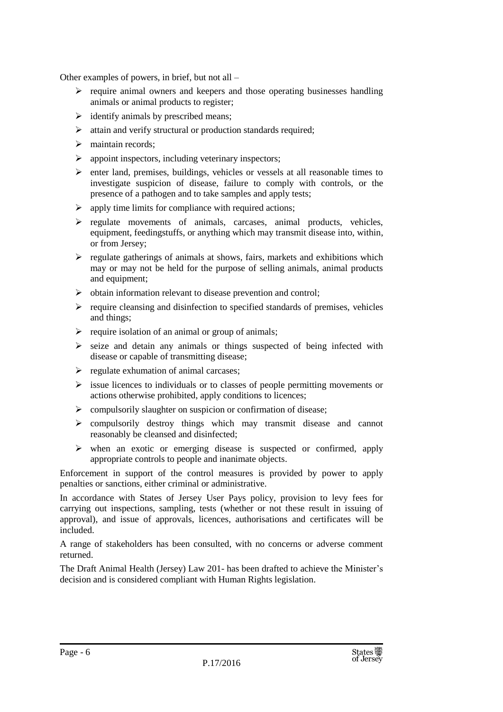Other examples of powers, in brief, but not all –

- $\triangleright$  require animal owners and keepers and those operating businesses handling animals or animal products to register;
- $\triangleright$  identify animals by prescribed means;
- $\triangleright$  attain and verify structural or production standards required;
- $\triangleright$  maintain records;
- $\triangleright$  appoint inspectors, including veterinary inspectors;
- $\triangleright$  enter land, premises, buildings, vehicles or vessels at all reasonable times to investigate suspicion of disease, failure to comply with controls, or the presence of a pathogen and to take samples and apply tests;
- $\triangleright$  apply time limits for compliance with required actions;
- $\triangleright$  regulate movements of animals, carcases, animal products, vehicles, equipment, feedingstuffs, or anything which may transmit disease into, within, or from Jersey;
- $\triangleright$  regulate gatherings of animals at shows, fairs, markets and exhibitions which may or may not be held for the purpose of selling animals, animal products and equipment;
- $\triangleright$  obtain information relevant to disease prevention and control;
- $\triangleright$  require cleansing and disinfection to specified standards of premises, vehicles and things;
- $\triangleright$  require isolation of an animal or group of animals;
- $\triangleright$  seize and detain any animals or things suspected of being infected with disease or capable of transmitting disease;
- $\triangleright$  regulate exhumation of animal carcases;
- $\triangleright$  issue licences to individuals or to classes of people permitting movements or actions otherwise prohibited, apply conditions to licences;
- $\triangleright$  compulsorily slaughter on suspicion or confirmation of disease;
- compulsorily destroy things which may transmit disease and cannot reasonably be cleansed and disinfected;
- $\triangleright$  when an exotic or emerging disease is suspected or confirmed, apply appropriate controls to people and inanimate objects.

Enforcement in support of the control measures is provided by power to apply penalties or sanctions, either criminal or administrative.

In accordance with States of Jersey User Pays policy, provision to levy fees for carrying out inspections, sampling, tests (whether or not these result in issuing of approval), and issue of approvals, licences, authorisations and certificates will be included.

A range of stakeholders has been consulted, with no concerns or adverse comment returned.

The Draft Animal Health (Jersey) Law 201- has been drafted to achieve the Minister's decision and is considered compliant with Human Rights legislation.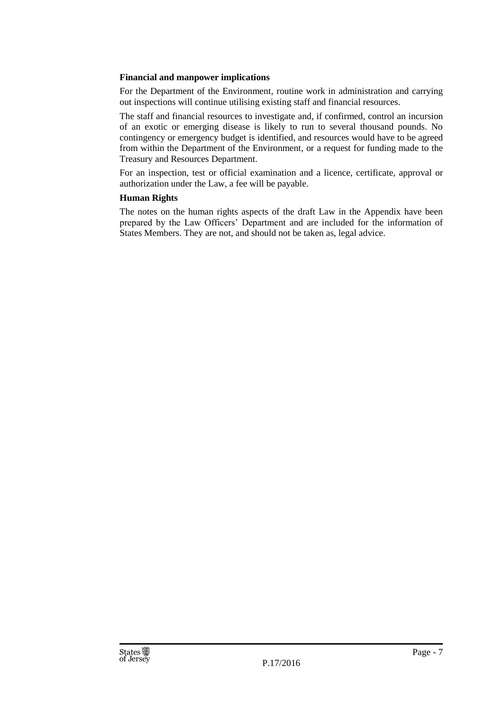## **Financial and manpower implications**

For the Department of the Environment, routine work in administration and carrying out inspections will continue utilising existing staff and financial resources.

The staff and financial resources to investigate and, if confirmed, control an incursion of an exotic or emerging disease is likely to run to several thousand pounds. No contingency or emergency budget is identified, and resources would have to be agreed from within the Department of the Environment, or a request for funding made to the Treasury and Resources Department.

For an inspection, test or official examination and a licence, certificate, approval or authorization under the Law, a fee will be payable.

## **Human Rights**

The notes on the human rights aspects of the draft Law in the Appendix have been prepared by the Law Officers' Department and are included for the information of States Members. They are not, and should not be taken as, legal advice.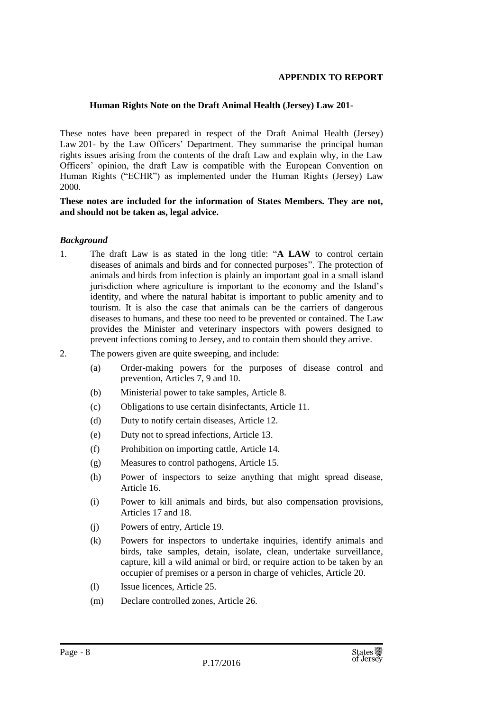## **APPENDIX TO REPORT**

## **Human Rights Note on the Draft Animal Health (Jersey) Law 201-**

These notes have been prepared in respect of the Draft Animal Health (Jersey) Law 201- by the Law Officers' Department. They summarise the principal human rights issues arising from the contents of the draft Law and explain why, in the Law Officers' opinion, the draft Law is compatible with the European Convention on Human Rights ("ECHR") as implemented under the Human Rights (Jersey) Law 2000.

## **These notes are included for the information of States Members. They are not, and should not be taken as, legal advice.**

## *Background*

- 1. The draft Law is as stated in the long title: "**A LAW** to control certain diseases of animals and birds and for connected purposes". The protection of animals and birds from infection is plainly an important goal in a small island jurisdiction where agriculture is important to the economy and the Island's identity, and where the natural habitat is important to public amenity and to tourism. It is also the case that animals can be the carriers of dangerous diseases to humans, and these too need to be prevented or contained. The Law provides the Minister and veterinary inspectors with powers designed to prevent infections coming to Jersey, and to contain them should they arrive.
- 2. The powers given are quite sweeping, and include:
	- (a) Order-making powers for the purposes of disease control and prevention, Articles 7, 9 and 10.
	- (b) Ministerial power to take samples, Article 8.
	- (c) Obligations to use certain disinfectants, Article 11.
	- (d) Duty to notify certain diseases, Article 12.
	- (e) Duty not to spread infections, Article 13.
	- (f) Prohibition on importing cattle, Article 14.
	- (g) Measures to control pathogens, Article 15.
	- (h) Power of inspectors to seize anything that might spread disease, Article 16.
	- (i) Power to kill animals and birds, but also compensation provisions, Articles 17 and 18.
	- (j) Powers of entry, Article 19.
	- (k) Powers for inspectors to undertake inquiries, identify animals and birds, take samples, detain, isolate, clean, undertake surveillance, capture, kill a wild animal or bird, or require action to be taken by an occupier of premises or a person in charge of vehicles, Article 20.
	- (l) Issue licences, Article 25.
	- (m) Declare controlled zones, Article 26.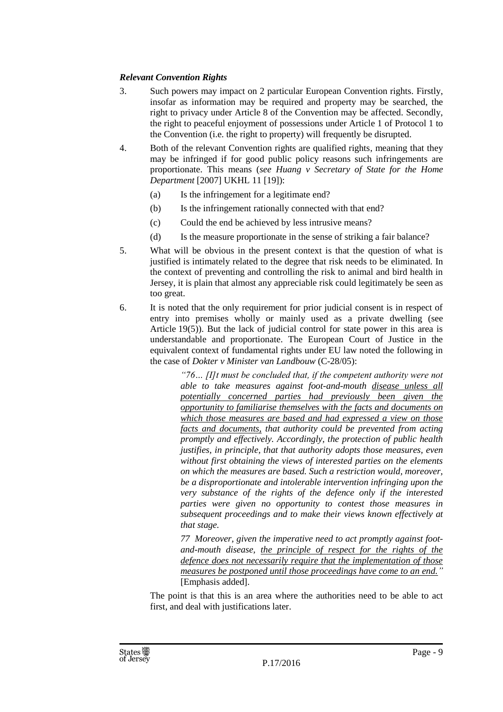## *Relevant Convention Rights*

- 3. Such powers may impact on 2 particular European Convention rights. Firstly, insofar as information may be required and property may be searched, the right to privacy under Article 8 of the Convention may be affected. Secondly, the right to peaceful enjoyment of possessions under Article 1 of Protocol 1 to the Convention (i.e. the right to property) will frequently be disrupted.
- 4. Both of the relevant Convention rights are qualified rights, meaning that they may be infringed if for good public policy reasons such infringements are proportionate. This means (*see Huang v Secretary of State for the Home Department* [2007] UKHL 11 [19]):
	- (a) Is the infringement for a legitimate end?
	- (b) Is the infringement rationally connected with that end?
	- (c) Could the end be achieved by less intrusive means?
	- (d) Is the measure proportionate in the sense of striking a fair balance?
- 5. What will be obvious in the present context is that the question of what is justified is intimately related to the degree that risk needs to be eliminated. In the context of preventing and controlling the risk to animal and bird health in Jersey, it is plain that almost any appreciable risk could legitimately be seen as too great.
- 6. It is noted that the only requirement for prior judicial consent is in respect of entry into premises wholly or mainly used as a private dwelling (see Article  $19(5)$ ). But the lack of judicial control for state power in this area is understandable and proportionate. The European Court of Justice in the equivalent context of fundamental rights under EU law noted the following in the case of *Dokter v Minister van Landbouw* (C-28/05):

*"76… [I]t must be concluded that, if the competent authority were not able to take measures against foot-and-mouth disease unless all potentially concerned parties had previously been given the opportunity to familiarise themselves with the facts and documents on which those measures are based and had expressed a view on those facts and documents, that authority could be prevented from acting promptly and effectively. Accordingly, the protection of public health justifies, in principle, that that authority adopts those measures, even without first obtaining the views of interested parties on the elements on which the measures are based. Such a restriction would, moreover, be a disproportionate and intolerable intervention infringing upon the very substance of the rights of the defence only if the interested parties were given no opportunity to contest those measures in subsequent proceedings and to make their views known effectively at that stage.*

*77 Moreover, given the imperative need to act promptly against footand-mouth disease, the principle of respect for the rights of the defence does not necessarily require that the implementation of those measures be postponed until those proceedings have come to an end."*  [Emphasis added].

The point is that this is an area where the authorities need to be able to act first, and deal with justifications later.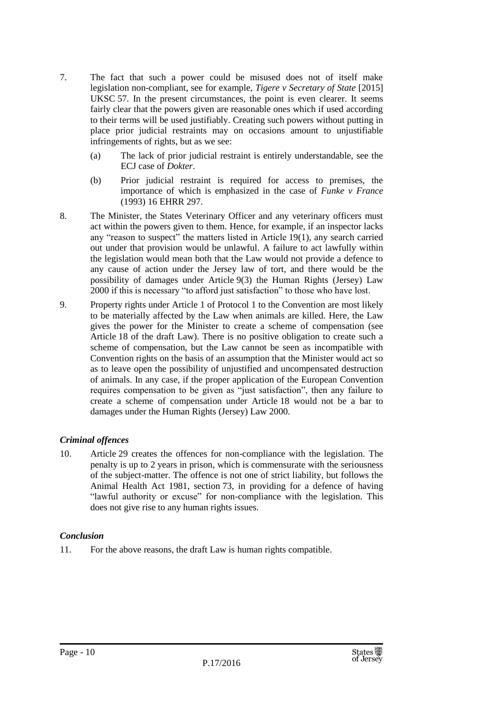- 7. The fact that such a power could be misused does not of itself make legislation non-compliant, see for example, *Tigere v Secretary of State* [2015] UKSC 57. In the present circumstances, the point is even clearer. It seems fairly clear that the powers given are reasonable ones which if used according to their terms will be used justifiably. Creating such powers without putting in place prior judicial restraints may on occasions amount to unjustifiable infringements of rights, but as we see:
	- (a) The lack of prior judicial restraint is entirely understandable, see the ECJ case of *Dokter*.
	- (b) Prior judicial restraint is required for access to premises, the importance of which is emphasized in the case of *Funke v France* (1993) 16 EHRR 297.
- 8. The Minister, the States Veterinary Officer and any veterinary officers must act within the powers given to them. Hence, for example, if an inspector lacks any "reason to suspect" the matters listed in Article 19(1), any search carried out under that provision would be unlawful. A failure to act lawfully within the legislation would mean both that the Law would not provide a defence to any cause of action under the Jersey law of tort, and there would be the possibility of damages under Article 9(3) the Human Rights (Jersey) Law 2000 if this is necessary "to afford just satisfaction" to those who have lost.
- 9. Property rights under Article 1 of Protocol 1 to the Convention are most likely to be materially affected by the Law when animals are killed. Here, the Law gives the power for the Minister to create a scheme of compensation (see Article 18 of the draft Law). There is no positive obligation to create such a scheme of compensation, but the Law cannot be seen as incompatible with Convention rights on the basis of an assumption that the Minister would act so as to leave open the possibility of unjustified and uncompensated destruction of animals. In any case, if the proper application of the European Convention requires compensation to be given as "just satisfaction", then any failure to create a scheme of compensation under Article 18 would not be a bar to damages under the Human Rights (Jersey) Law 2000.

## *Criminal offences*

10. Article 29 creates the offences for non-compliance with the legislation. The penalty is up to 2 years in prison, which is commensurate with the seriousness of the subject-matter. The offence is not one of strict liability, but follows the Animal Health Act 1981, section 73, in providing for a defence of having "lawful authority or excuse" for non-compliance with the legislation. This does not give rise to any human rights issues.

## *Conclusion*

11. For the above reasons, the draft Law is human rights compatible.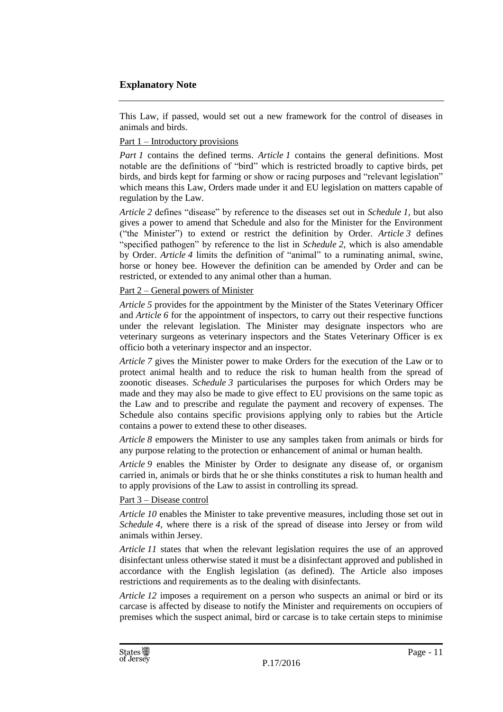## **Explanatory Note**

This Law, if passed, would set out a new framework for the control of diseases in animals and birds.

## Part 1 – Introductory provisions

*Part 1* contains the defined terms. *Article 1* contains the general definitions. Most notable are the definitions of "bird" which is restricted broadly to captive birds, pet birds, and birds kept for farming or show or racing purposes and "relevant legislation" which means this Law, Orders made under it and EU legislation on matters capable of regulation by the Law.

*Article 2* defines "disease" by reference to the diseases set out in *Schedule 1*, but also gives a power to amend that Schedule and also for the Minister for the Environment ("the Minister") to extend or restrict the definition by Order. *Article*  $3$  defines "specified pathogen" by reference to the list in *Schedule 2*, which is also amendable by Order. *Article 4* limits the definition of "animal" to a ruminating animal, swine, horse or honey bee. However the definition can be amended by Order and can be restricted, or extended to any animal other than a human.

## Part 2 – General powers of Minister

*Article 5* provides for the appointment by the Minister of the States Veterinary Officer and *Article 6* for the appointment of inspectors, to carry out their respective functions under the relevant legislation. The Minister may designate inspectors who are veterinary surgeons as veterinary inspectors and the States Veterinary Officer is ex officio both a veterinary inspector and an inspector.

*Article 7* gives the Minister power to make Orders for the execution of the Law or to protect animal health and to reduce the risk to human health from the spread of zoonotic diseases. *Schedule 3* particularises the purposes for which Orders may be made and they may also be made to give effect to EU provisions on the same topic as the Law and to prescribe and regulate the payment and recovery of expenses. The Schedule also contains specific provisions applying only to rabies but the Article contains a power to extend these to other diseases.

*Article 8* empowers the Minister to use any samples taken from animals or birds for any purpose relating to the protection or enhancement of animal or human health.

*Article 9* enables the Minister by Order to designate any disease of, or organism carried in, animals or birds that he or she thinks constitutes a risk to human health and to apply provisions of the Law to assist in controlling its spread.

## Part 3 – Disease control

*Article 10* enables the Minister to take preventive measures, including those set out in *Schedule* 4, where there is a risk of the spread of disease into Jersey or from wild animals within Jersey.

*Article* 11 states that when the relevant legislation requires the use of an approved disinfectant unless otherwise stated it must be a disinfectant approved and published in accordance with the English legislation (as defined). The Article also imposes restrictions and requirements as to the dealing with disinfectants.

*Article 12* imposes a requirement on a person who suspects an animal or bird or its carcase is affected by disease to notify the Minister and requirements on occupiers of premises which the suspect animal, bird or carcase is to take certain steps to minimise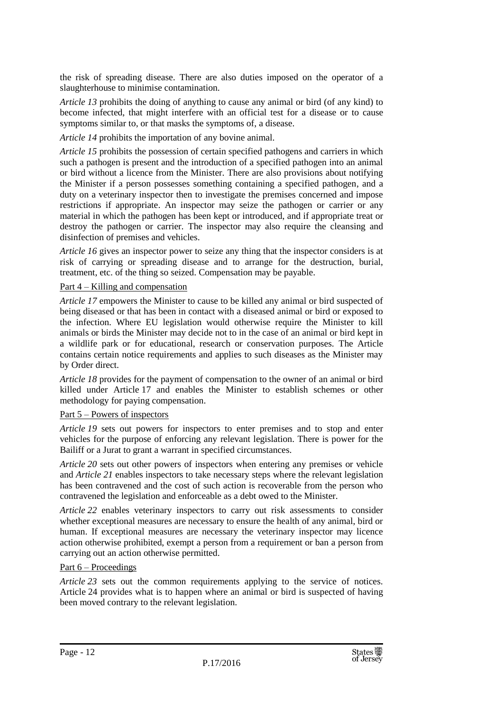the risk of spreading disease. There are also duties imposed on the operator of a slaughterhouse to minimise contamination.

*Article 13* prohibits the doing of anything to cause any animal or bird (of any kind) to become infected, that might interfere with an official test for a disease or to cause symptoms similar to, or that masks the symptoms of, a disease.

*Article 14* prohibits the importation of any bovine animal.

*Article 15* prohibits the possession of certain specified pathogens and carriers in which such a pathogen is present and the introduction of a specified pathogen into an animal or bird without a licence from the Minister. There are also provisions about notifying the Minister if a person possesses something containing a specified pathogen, and a duty on a veterinary inspector then to investigate the premises concerned and impose restrictions if appropriate. An inspector may seize the pathogen or carrier or any material in which the pathogen has been kept or introduced, and if appropriate treat or destroy the pathogen or carrier. The inspector may also require the cleansing and disinfection of premises and vehicles.

*Article* 16 gives an inspector power to seize any thing that the inspector considers is at risk of carrying or spreading disease and to arrange for the destruction, burial, treatment, etc. of the thing so seized. Compensation may be payable.

## Part 4 – Killing and compensation

*Article 17* empowers the Minister to cause to be killed any animal or bird suspected of being diseased or that has been in contact with a diseased animal or bird or exposed to the infection. Where EU legislation would otherwise require the Minister to kill animals or birds the Minister may decide not to in the case of an animal or bird kept in a wildlife park or for educational, research or conservation purposes. The Article contains certain notice requirements and applies to such diseases as the Minister may by Order direct.

*Article 18* provides for the payment of compensation to the owner of an animal or bird killed under Article 17 and enables the Minister to establish schemes or other methodology for paying compensation.

## Part 5 – Powers of inspectors

*Article 19* sets out powers for inspectors to enter premises and to stop and enter vehicles for the purpose of enforcing any relevant legislation. There is power for the Bailiff or a Jurat to grant a warrant in specified circumstances.

*Article 20* sets out other powers of inspectors when entering any premises or vehicle and *Article 21* enables inspectors to take necessary steps where the relevant legislation has been contravened and the cost of such action is recoverable from the person who contravened the legislation and enforceable as a debt owed to the Minister.

*Article 22* enables veterinary inspectors to carry out risk assessments to consider whether exceptional measures are necessary to ensure the health of any animal, bird or human. If exceptional measures are necessary the veterinary inspector may licence action otherwise prohibited, exempt a person from a requirement or ban a person from carrying out an action otherwise permitted.

## Part 6 – Proceedings

*Article 23* sets out the common requirements applying to the service of notices. Article 24 provides what is to happen where an animal or bird is suspected of having been moved contrary to the relevant legislation.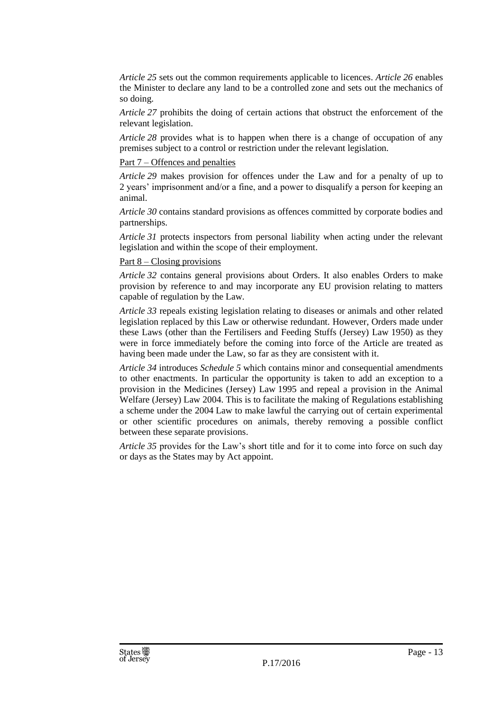*Article 25* sets out the common requirements applicable to licences. *Article 26* enables the Minister to declare any land to be a controlled zone and sets out the mechanics of so doing.

*Article 27* prohibits the doing of certain actions that obstruct the enforcement of the relevant legislation.

*Article 28* provides what is to happen when there is a change of occupation of any premises subject to a control or restriction under the relevant legislation.

#### Part 7 – Offences and penalties

*Article 29* makes provision for offences under the Law and for a penalty of up to 2 years' imprisonment and/or a fine, and a power to disqualify a person for keeping an animal.

*Article 30* contains standard provisions as offences committed by corporate bodies and partnerships.

*Article 31* protects inspectors from personal liability when acting under the relevant legislation and within the scope of their employment.

## Part 8 – Closing provisions

*Article 32* contains general provisions about Orders. It also enables Orders to make provision by reference to and may incorporate any EU provision relating to matters capable of regulation by the Law.

*Article* 33 repeals existing legislation relating to diseases or animals and other related legislation replaced by this Law or otherwise redundant. However, Orders made under these Laws (other than the Fertilisers and Feeding Stuffs (Jersey) Law 1950) as they were in force immediately before the coming into force of the Article are treated as having been made under the Law, so far as they are consistent with it.

*Article 34* introduces *Schedule 5* which contains minor and consequential amendments to other enactments. In particular the opportunity is taken to add an exception to a provision in the Medicines (Jersey) Law 1995 and repeal a provision in the Animal Welfare (Jersey) Law 2004. This is to facilitate the making of Regulations establishing a scheme under the 2004 Law to make lawful the carrying out of certain experimental or other scientific procedures on animals, thereby removing a possible conflict between these separate provisions.

*Article 35* provides for the Law's short title and for it to come into force on such day or days as the States may by Act appoint.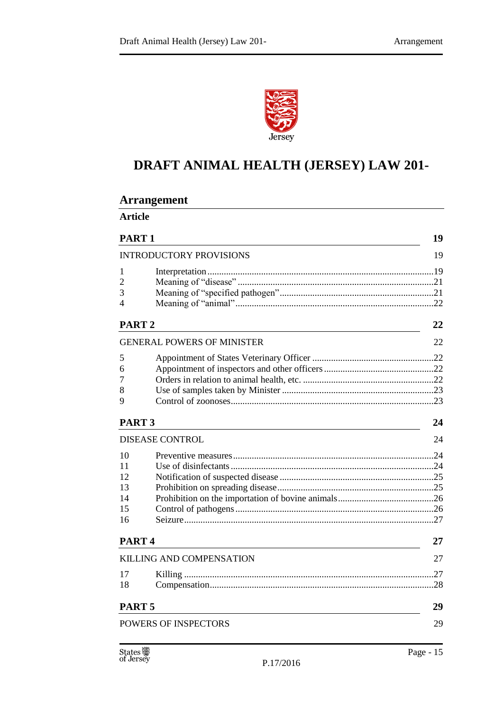**Arrangement**



# **DRAFT ANIMAL HEALTH (JERSEY) LAW 201-**

| <b>Article</b>                 |                                   |    |  |
|--------------------------------|-----------------------------------|----|--|
| PART <sub>1</sub><br>19        |                                   |    |  |
| <b>INTRODUCTORY PROVISIONS</b> |                                   |    |  |
| 1                              |                                   |    |  |
| 2                              |                                   |    |  |
| 3                              |                                   |    |  |
| 4                              |                                   |    |  |
| PART <sub>2</sub>              |                                   | 22 |  |
|                                | <b>GENERAL POWERS OF MINISTER</b> | 22 |  |
| 5                              |                                   |    |  |
| 6                              |                                   |    |  |
| 7                              |                                   |    |  |
| 8                              |                                   |    |  |
| 9                              |                                   |    |  |
| PART <sub>3</sub>              |                                   | 24 |  |
|                                | <b>DISEASE CONTROL</b>            | 24 |  |
| 10                             |                                   |    |  |
| 11                             |                                   |    |  |
| 12                             |                                   |    |  |
| 13                             |                                   |    |  |
| 14                             |                                   |    |  |
| 15                             |                                   |    |  |
| 16                             |                                   |    |  |
|                                | PART <sub>4</sub>                 |    |  |
|                                | <b>KILLING AND COMPENSATION</b>   | 27 |  |
| 17                             |                                   |    |  |
| 18                             |                                   |    |  |
| PART <sub>5</sub>              |                                   | 29 |  |
|                                | POWERS OF INSPECTORS              | 29 |  |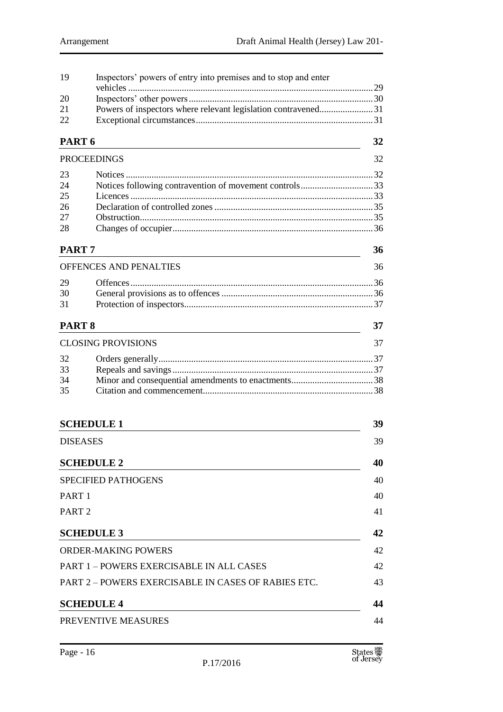| 19                | Inspectors' powers of entry into premises and to stop and enter |    |  |  |  |  |
|-------------------|-----------------------------------------------------------------|----|--|--|--|--|
|                   |                                                                 |    |  |  |  |  |
| 20                |                                                                 |    |  |  |  |  |
| 21<br>22          | Powers of inspectors where relevant legislation contravened31   |    |  |  |  |  |
|                   |                                                                 |    |  |  |  |  |
| PART <sub>6</sub> |                                                                 |    |  |  |  |  |
|                   | <b>PROCEEDINGS</b>                                              | 32 |  |  |  |  |
| 23                |                                                                 |    |  |  |  |  |
| 24                | Notices following contravention of movement controls33          |    |  |  |  |  |
| 25                |                                                                 |    |  |  |  |  |
| 26                |                                                                 |    |  |  |  |  |
| 27                |                                                                 |    |  |  |  |  |
| 28                |                                                                 |    |  |  |  |  |
| PART <sub>7</sub> |                                                                 | 36 |  |  |  |  |
|                   | OFFENCES AND PENALTIES                                          | 36 |  |  |  |  |
| 29                |                                                                 |    |  |  |  |  |
| 30                |                                                                 |    |  |  |  |  |
| 31                |                                                                 |    |  |  |  |  |
| PART <sub>8</sub> |                                                                 | 37 |  |  |  |  |
|                   | <b>CLOSING PROVISIONS</b>                                       | 37 |  |  |  |  |
| 32                |                                                                 |    |  |  |  |  |
| 33                |                                                                 |    |  |  |  |  |
| 34                |                                                                 |    |  |  |  |  |
| 35                |                                                                 |    |  |  |  |  |
|                   |                                                                 |    |  |  |  |  |
|                   | <b>SCHEDULE 1</b>                                               | 39 |  |  |  |  |
|                   | <b>DISEASES</b>                                                 | 39 |  |  |  |  |
|                   | <b>SCHEDULE 2</b>                                               | 40 |  |  |  |  |
|                   | <b>SPECIFIED PATHOGENS</b>                                      | 40 |  |  |  |  |
| PART <sub>1</sub> |                                                                 | 40 |  |  |  |  |
| PART <sub>2</sub> |                                                                 | 41 |  |  |  |  |
|                   | <b>SCHEDULE 3</b>                                               | 42 |  |  |  |  |
|                   | <b>ORDER-MAKING POWERS</b>                                      | 42 |  |  |  |  |
|                   | <b>PART 1-POWERS EXERCISABLE IN ALL CASES</b>                   | 42 |  |  |  |  |
|                   | PART 2 – POWERS EXERCISABLE IN CASES OF RABIES ETC.<br>43       |    |  |  |  |  |
|                   | <b>SCHEDULE 4</b>                                               | 44 |  |  |  |  |
|                   | PREVENTIVE MEASURES                                             | 44 |  |  |  |  |
|                   |                                                                 |    |  |  |  |  |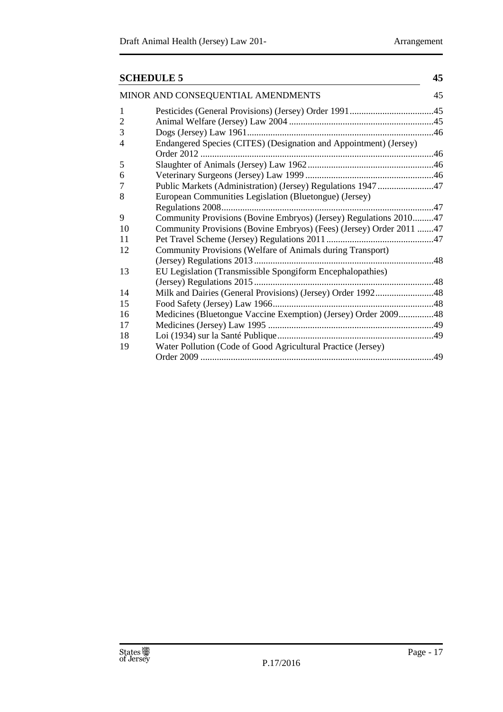| <b>SCHEDULE 5</b>                  |                                                                     | 45 |  |
|------------------------------------|---------------------------------------------------------------------|----|--|
| MINOR AND CONSEQUENTIAL AMENDMENTS |                                                                     |    |  |
| 1                                  |                                                                     |    |  |
| $\overline{2}$                     |                                                                     |    |  |
| 3                                  |                                                                     |    |  |
| 4                                  | Endangered Species (CITES) (Designation and Appointment) (Jersey)   |    |  |
| 5                                  |                                                                     |    |  |
| 6                                  |                                                                     |    |  |
| 7                                  | Public Markets (Administration) (Jersey) Regulations 194747         |    |  |
| 8                                  | European Communities Legislation (Bluetongue) (Jersey)              |    |  |
|                                    |                                                                     |    |  |
| 9                                  | Community Provisions (Bovine Embryos) (Jersey) Regulations 201047   |    |  |
| 10                                 | Community Provisions (Bovine Embryos) (Fees) (Jersey) Order 2011 47 |    |  |
| 11                                 |                                                                     |    |  |
| 12                                 | Community Provisions (Welfare of Animals during Transport)          |    |  |
|                                    |                                                                     |    |  |
| 13                                 | EU Legislation (Transmissible Spongiform Encephalopathies)          |    |  |
|                                    |                                                                     |    |  |
| 14                                 | Milk and Dairies (General Provisions) (Jersey) Order 199248         |    |  |
| 15                                 |                                                                     |    |  |
| 16                                 | Medicines (Bluetongue Vaccine Exemption) (Jersey) Order 200948      |    |  |
| 17                                 |                                                                     |    |  |
| 18                                 |                                                                     |    |  |
| 19                                 | Water Pollution (Code of Good Agricultural Practice (Jersey)        |    |  |
|                                    |                                                                     |    |  |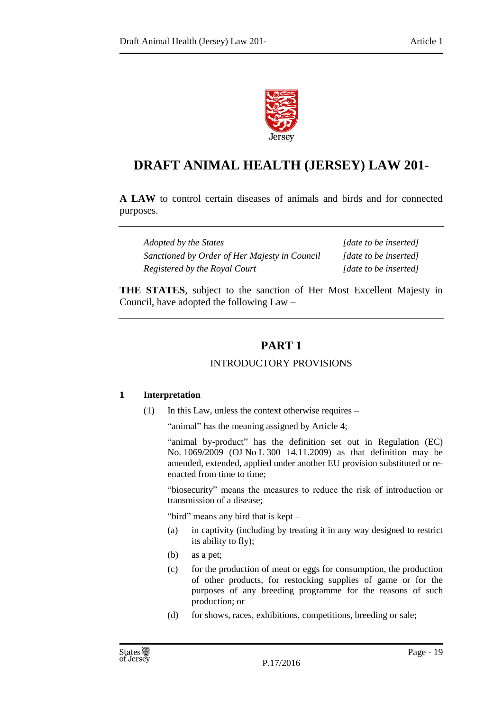

# **DRAFT ANIMAL HEALTH (JERSEY) LAW 201-**

**A LAW** to control certain diseases of animals and birds and for connected purposes.

*Adopted by the States [date to be inserted] Sanctioned by Order of Her Majesty in Council [date to be inserted] Registered by the Royal Court [date to be inserted]*

<span id="page-18-0"></span>**THE STATES**, subject to the sanction of Her Most Excellent Majesty in Council, have adopted the following Law –

# **PART 1**

## INTRODUCTORY PROVISIONS

## <span id="page-18-2"></span><span id="page-18-1"></span>**1 Interpretation**

(1) In this Law, unless the context otherwise requires –

"animal" has the meaning assigned by Article 4;

"animal by-product" has the definition set out in Regulation (EC) No. 1069/2009 (OJ No L 300 14.11.2009) as that definition may be amended, extended, applied under another EU provision substituted or reenacted from time to time;

"biosecurity" means the measures to reduce the risk of introduction or transmission of a disease;

"bird" means any bird that is kept –

- (a) in captivity (including by treating it in any way designed to restrict its ability to fly);
- (b) as a pet;
- (c) for the production of meat or eggs for consumption, the production of other products, for restocking supplies of game or for the purposes of any breeding programme for the reasons of such production; or
- (d) for shows, races, exhibitions, competitions, breeding or sale;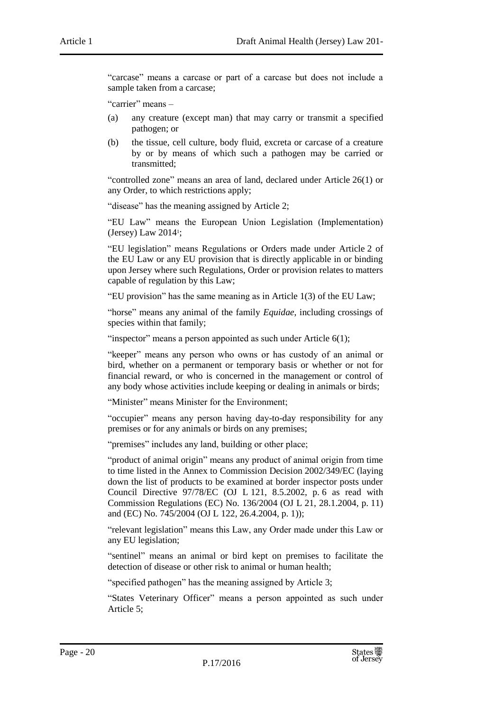"carcase" means a carcase or part of a carcase but does not include a sample taken from a carcase;

"carrier" means –

- (a) any creature (except man) that may carry or transmit a specified pathogen; or
- (b) the tissue, cell culture, body fluid, excreta or carcase of a creature by or by means of which such a pathogen may be carried or transmitted;

"controlled zone" means an area of land, declared under Article 26(1) or any Order, to which restrictions apply;

"disease" has the meaning assigned by Article 2;

"EU Law" means the European Union Legislation (Implementation) (Jersey) Law 2014<sup>1</sup> ;

"EU legislation" means Regulations or Orders made under Article 2 of the EU Law or any EU provision that is directly applicable in or binding upon Jersey where such Regulations, Order or provision relates to matters capable of regulation by this Law;

"EU provision" has the same meaning as in Article 1(3) of the EU Law;

"horse" means any animal of the family *Equidae*, including crossings of species within that family;

"inspector" means a person appointed as such under Article  $6(1)$ ;

"keeper" means any person who owns or has custody of an animal or bird, whether on a permanent or temporary basis or whether or not for financial reward, or who is concerned in the management or control of any body whose activities include keeping or dealing in animals or birds;

"Minister" means Minister for the Environment;

"occupier" means any person having day-to-day responsibility for any premises or for any animals or birds on any premises;

"premises" includes any land, building or other place;

"product of animal origin" means any product of animal origin from time to time listed in the Annex to Commission Decision 2002/349/EC (laying down the list of products to be examined at border inspector posts under Council Directive 97/78/EC (OJ L 121, 8.5.2002, p. 6 as read with Commission Regulations (EC) No. 136/2004 (OJ L 21, 28.1.2004, p. 11) and (EC) No. 745/2004 (OJ L 122, 26.4.2004, p. 1));

"relevant legislation" means this Law, any Order made under this Law or any EU legislation;

"sentinel" means an animal or bird kept on premises to facilitate the detection of disease or other risk to animal or human health;

"specified pathogen" has the meaning assigned by Article 3;

"States Veterinary Officer" means a person appointed as such under Article 5;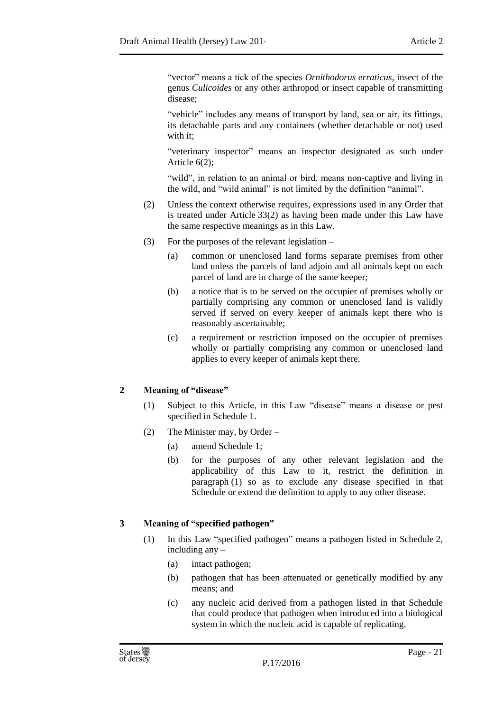"vector" means a tick of the species *Ornithodorus erraticus,* insect of the genus *Culicoides* or any other arthropod or insect capable of transmitting disease;

"vehicle" includes any means of transport by land, sea or air, its fittings, its detachable parts and any containers (whether detachable or not) used with it:

"veterinary inspector" means an inspector designated as such under Article 6(2);

"wild", in relation to an animal or bird, means non-captive and living in the wild, and "wild animal" is not limited by the definition "animal".

- (2) Unless the context otherwise requires, expressions used in any Order that is treated under Article 33(2) as having been made under this Law have the same respective meanings as in this Law.
- (3) For the purposes of the relevant legislation
	- (a) common or unenclosed land forms separate premises from other land unless the parcels of land adjoin and all animals kept on each parcel of land are in charge of the same keeper;
	- (b) a notice that is to be served on the occupier of premises wholly or partially comprising any common or unenclosed land is validly served if served on every keeper of animals kept there who is reasonably ascertainable;
	- (c) a requirement or restriction imposed on the occupier of premises wholly or partially comprising any common or unenclosed land applies to every keeper of animals kept there.

## <span id="page-20-0"></span>**2 Meaning of "disease"**

- (1) Subject to this Article, in this Law "disease" means a disease or pest specified in Schedule 1.
- (2) The Minister may, by Order
	- (a) amend Schedule 1;
	- (b) for the purposes of any other relevant legislation and the applicability of this Law to it, restrict the definition in paragraph (1) so as to exclude any disease specified in that Schedule or extend the definition to apply to any other disease.

## <span id="page-20-1"></span>**3 Meaning of "specified pathogen"**

- (1) In this Law "specified pathogen" means a pathogen listed in Schedule 2, including any –
	- (a) intact pathogen;
	- (b) pathogen that has been attenuated or genetically modified by any means; and
	- (c) any nucleic acid derived from a pathogen listed in that Schedule that could produce that pathogen when introduced into a biological system in which the nucleic acid is capable of replicating.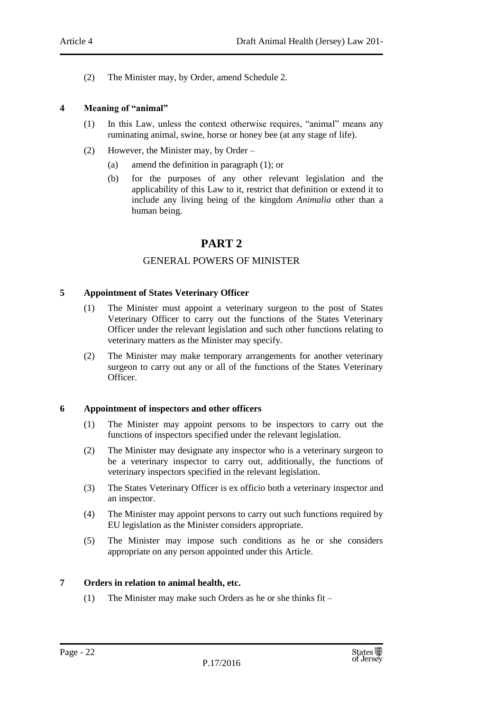(2) The Minister may, by Order, amend Schedule 2.

## <span id="page-21-0"></span>**4 Meaning of "animal"**

- (1) In this Law, unless the context otherwise requires, "animal" means any ruminating animal, swine, horse or honey bee (at any stage of life).
- (2) However, the Minister may, by Order
	- (a) amend the definition in paragraph (1); or
	- (b) for the purposes of any other relevant legislation and the applicability of this Law to it, restrict that definition or extend it to include any living being of the kingdom *Animalia* other than a human being.

## **PART 2**

## GENERAL POWERS OF MINISTER

## <span id="page-21-3"></span><span id="page-21-2"></span><span id="page-21-1"></span>**5 Appointment of States Veterinary Officer**

- (1) The Minister must appoint a veterinary surgeon to the post of States Veterinary Officer to carry out the functions of the States Veterinary Officer under the relevant legislation and such other functions relating to veterinary matters as the Minister may specify.
- (2) The Minister may make temporary arrangements for another veterinary surgeon to carry out any or all of the functions of the States Veterinary Officer.

#### <span id="page-21-4"></span>**6 Appointment of inspectors and other officers**

- (1) The Minister may appoint persons to be inspectors to carry out the functions of inspectors specified under the relevant legislation.
- (2) The Minister may designate any inspector who is a veterinary surgeon to be a veterinary inspector to carry out, additionally, the functions of veterinary inspectors specified in the relevant legislation.
- (3) The States Veterinary Officer is ex officio both a veterinary inspector and an inspector.
- (4) The Minister may appoint persons to carry out such functions required by EU legislation as the Minister considers appropriate.
- (5) The Minister may impose such conditions as he or she considers appropriate on any person appointed under this Article.

## <span id="page-21-5"></span>**7 Orders in relation to animal health, etc.**

(1) The Minister may make such Orders as he or she thinks fit –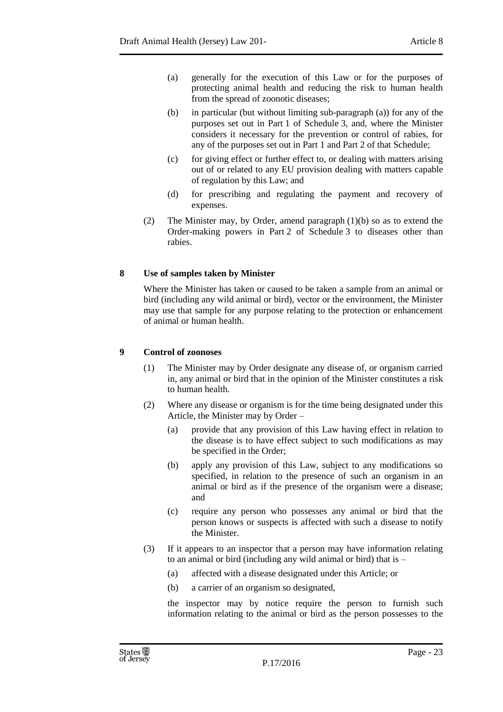- (a) generally for the execution of this Law or for the purposes of protecting animal health and reducing the risk to human health from the spread of zoonotic diseases;
- (b) in particular (but without limiting sub-paragraph (a)) for any of the purposes set out in Part 1 of Schedule 3, and, where the Minister considers it necessary for the prevention or control of rabies, for any of the purposes set out in Part 1 and Part 2 of that Schedule;
- (c) for giving effect or further effect to, or dealing with matters arising out of or related to any EU provision dealing with matters capable of regulation by this Law; and
- (d) for prescribing and regulating the payment and recovery of expenses.
- (2) The Minister may, by Order, amend paragraph (1)(b) so as to extend the Order-making powers in Part 2 of Schedule 3 to diseases other than rabies.

## <span id="page-22-0"></span>**8 Use of samples taken by Minister**

Where the Minister has taken or caused to be taken a sample from an animal or bird (including any wild animal or bird), vector or the environment, the Minister may use that sample for any purpose relating to the protection or enhancement of animal or human health.

## <span id="page-22-1"></span>**9 Control of zoonoses**

- (1) The Minister may by Order designate any disease of, or organism carried in, any animal or bird that in the opinion of the Minister constitutes a risk to human health.
- (2) Where any disease or organism is for the time being designated under this Article, the Minister may by Order –
	- (a) provide that any provision of this Law having effect in relation to the disease is to have effect subject to such modifications as may be specified in the Order;
	- (b) apply any provision of this Law, subject to any modifications so specified, in relation to the presence of such an organism in an animal or bird as if the presence of the organism were a disease; and
	- (c) require any person who possesses any animal or bird that the person knows or suspects is affected with such a disease to notify the Minister.
- (3) If it appears to an inspector that a person may have information relating to an animal or bird (including any wild animal or bird) that is –
	- (a) affected with a disease designated under this Article; or
	- (b) a carrier of an organism so designated,

the inspector may by notice require the person to furnish such information relating to the animal or bird as the person possesses to the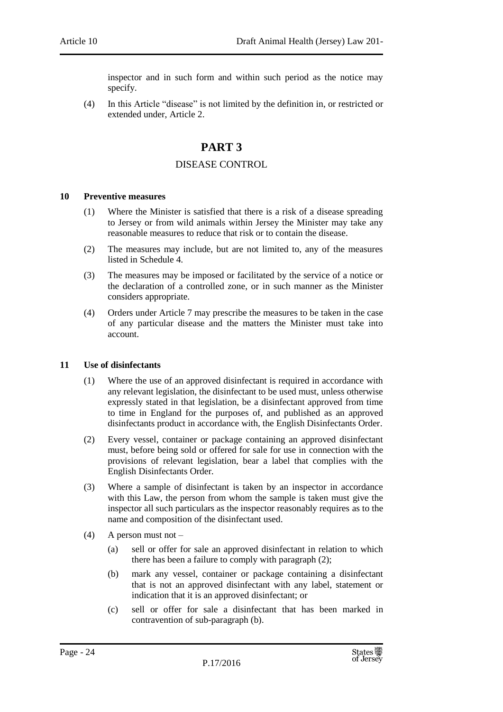inspector and in such form and within such period as the notice may specify.

<span id="page-23-0"></span>(4) In this Article "disease" is not limited by the definition in, or restricted or extended under, Article 2.

## **PART 3**

## DISEASE CONTROL

#### <span id="page-23-2"></span><span id="page-23-1"></span>**10 Preventive measures**

- (1) Where the Minister is satisfied that there is a risk of a disease spreading to Jersey or from wild animals within Jersey the Minister may take any reasonable measures to reduce that risk or to contain the disease.
- (2) The measures may include, but are not limited to, any of the measures listed in Schedule 4.
- (3) The measures may be imposed or facilitated by the service of a notice or the declaration of a controlled zone, or in such manner as the Minister considers appropriate.
- (4) Orders under Article 7 may prescribe the measures to be taken in the case of any particular disease and the matters the Minister must take into account.

## <span id="page-23-3"></span>**11 Use of disinfectants**

- (1) Where the use of an approved disinfectant is required in accordance with any relevant legislation, the disinfectant to be used must, unless otherwise expressly stated in that legislation, be a disinfectant approved from time to time in England for the purposes of, and published as an approved disinfectants product in accordance with, the English Disinfectants Order.
- (2) Every vessel, container or package containing an approved disinfectant must, before being sold or offered for sale for use in connection with the provisions of relevant legislation, bear a label that complies with the English Disinfectants Order.
- (3) Where a sample of disinfectant is taken by an inspector in accordance with this Law, the person from whom the sample is taken must give the inspector all such particulars as the inspector reasonably requires as to the name and composition of the disinfectant used.
- $(4)$  A person must not
	- (a) sell or offer for sale an approved disinfectant in relation to which there has been a failure to comply with paragraph (2);
	- (b) mark any vessel, container or package containing a disinfectant that is not an approved disinfectant with any label, statement or indication that it is an approved disinfectant; or
	- (c) sell or offer for sale a disinfectant that has been marked in contravention of sub-paragraph (b).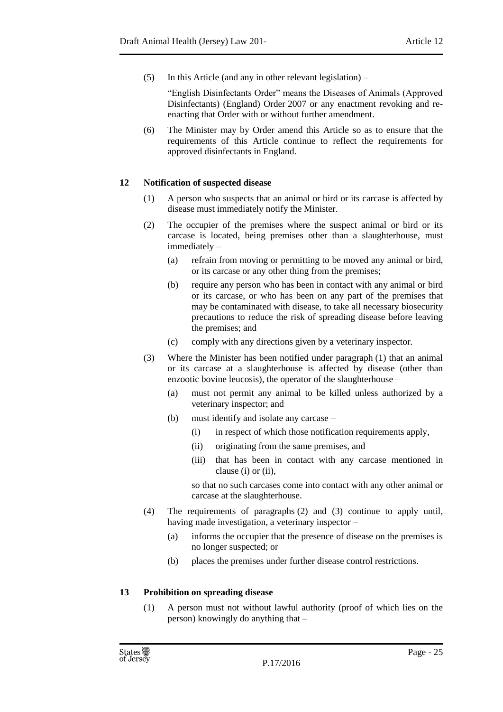(5) In this Article (and any in other relevant legislation) –

"English Disinfectants Order" means the Diseases of Animals (Approved Disinfectants) (England) Order 2007 or any enactment revoking and reenacting that Order with or without further amendment.

(6) The Minister may by Order amend this Article so as to ensure that the requirements of this Article continue to reflect the requirements for approved disinfectants in England.

## <span id="page-24-0"></span>**12 Notification of suspected disease**

- (1) A person who suspects that an animal or bird or its carcase is affected by disease must immediately notify the Minister.
- (2) The occupier of the premises where the suspect animal or bird or its carcase is located, being premises other than a slaughterhouse, must immediately –
	- (a) refrain from moving or permitting to be moved any animal or bird, or its carcase or any other thing from the premises;
	- (b) require any person who has been in contact with any animal or bird or its carcase, or who has been on any part of the premises that may be contaminated with disease, to take all necessary biosecurity precautions to reduce the risk of spreading disease before leaving the premises; and
	- (c) comply with any directions given by a veterinary inspector.
- (3) Where the Minister has been notified under paragraph (1) that an animal or its carcase at a slaughterhouse is affected by disease (other than enzootic bovine leucosis), the operator of the slaughterhouse –
	- (a) must not permit any animal to be killed unless authorized by a veterinary inspector; and
	- (b) must identify and isolate any carcase
		- (i) in respect of which those notification requirements apply,
		- (ii) originating from the same premises, and
		- (iii) that has been in contact with any carcase mentioned in clause (i) or (ii),

so that no such carcases come into contact with any other animal or carcase at the slaughterhouse.

- (4) The requirements of paragraphs (2) and (3) continue to apply until, having made investigation, a veterinary inspector –
	- (a) informs the occupier that the presence of disease on the premises is no longer suspected; or
	- (b) places the premises under further disease control restrictions.

## <span id="page-24-1"></span>**13 Prohibition on spreading disease**

(1) A person must not without lawful authority (proof of which lies on the person) knowingly do anything that –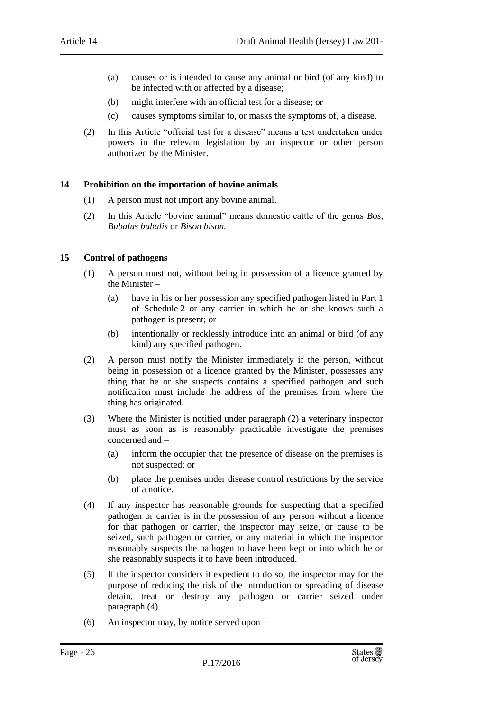- (a) causes or is intended to cause any animal or bird (of any kind) to be infected with or affected by a disease;
- (b) might interfere with an official test for a disease; or
- (c) causes symptoms similar to, or masks the symptoms of, a disease.
- (2) In this Article "official test for a disease" means a test undertaken under powers in the relevant legislation by an inspector or other person authorized by the Minister.

## <span id="page-25-0"></span>**14 Prohibition on the importation of bovine animals**

- (1) A person must not import any bovine animal.
- (2) In this Article "bovine animal" means domestic cattle of the genus *Bos, Bubalus bubalis* or *Bison bison.*

#### <span id="page-25-1"></span>**15 Control of pathogens**

- (1) A person must not, without being in possession of a licence granted by the Minister –
	- (a) have in his or her possession any specified pathogen listed in Part 1 of Schedule 2 or any carrier in which he or she knows such a pathogen is present; or
	- (b) intentionally or recklessly introduce into an animal or bird (of any kind) any specified pathogen.
- (2) A person must notify the Minister immediately if the person, without being in possession of a licence granted by the Minister, possesses any thing that he or she suspects contains a specified pathogen and such notification must include the address of the premises from where the thing has originated.
- (3) Where the Minister is notified under paragraph (2) a veterinary inspector must as soon as is reasonably practicable investigate the premises concerned and –
	- (a) inform the occupier that the presence of disease on the premises is not suspected; or
	- (b) place the premises under disease control restrictions by the service of a notice.
- (4) If any inspector has reasonable grounds for suspecting that a specified pathogen or carrier is in the possession of any person without a licence for that pathogen or carrier, the inspector may seize, or cause to be seized, such pathogen or carrier, or any material in which the inspector reasonably suspects the pathogen to have been kept or into which he or she reasonably suspects it to have been introduced.
- (5) If the inspector considers it expedient to do so, the inspector may for the purpose of reducing the risk of the introduction or spreading of disease detain, treat or destroy any pathogen or carrier seized under paragraph (4).
- (6) An inspector may, by notice served upon –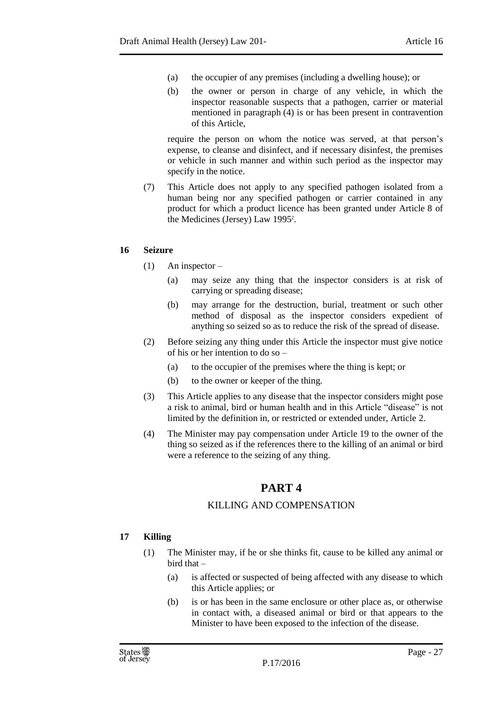- (a) the occupier of any premises (including a dwelling house); or
- (b) the owner or person in charge of any vehicle, in which the inspector reasonable suspects that a pathogen, carrier or material mentioned in paragraph (4) is or has been present in contravention of this Article,

require the person on whom the notice was served, at that person's expense, to cleanse and disinfect, and if necessary disinfest, the premises or vehicle in such manner and within such period as the inspector may specify in the notice.

(7) This Article does not apply to any specified pathogen isolated from a human being nor any specified pathogen or carrier contained in any product for which a product licence has been granted under Article 8 of the Medicines (Jersey) Law 1995<sup>2</sup> .

## <span id="page-26-0"></span>**16 Seizure**

- (1) An inspector
	- (a) may seize any thing that the inspector considers is at risk of carrying or spreading disease;
	- (b) may arrange for the destruction, burial, treatment or such other method of disposal as the inspector considers expedient of anything so seized so as to reduce the risk of the spread of disease.
- (2) Before seizing any thing under this Article the inspector must give notice of his or her intention to do so –
	- (a) to the occupier of the premises where the thing is kept; or
	- (b) to the owner or keeper of the thing.
- (3) This Article applies to any disease that the inspector considers might pose a risk to animal, bird or human health and in this Article "disease" is not limited by the definition in, or restricted or extended under, Article 2.
- <span id="page-26-1"></span>(4) The Minister may pay compensation under Article 19 to the owner of the thing so seized as if the references there to the killing of an animal or bird were a reference to the seizing of any thing.

# **PART 4**

## KILLING AND COMPENSATION

## <span id="page-26-3"></span><span id="page-26-2"></span>**17 Killing**

- (1) The Minister may, if he or she thinks fit, cause to be killed any animal or bird that –
	- (a) is affected or suspected of being affected with any disease to which this Article applies; or
	- (b) is or has been in the same enclosure or other place as, or otherwise in contact with, a diseased animal or bird or that appears to the Minister to have been exposed to the infection of the disease.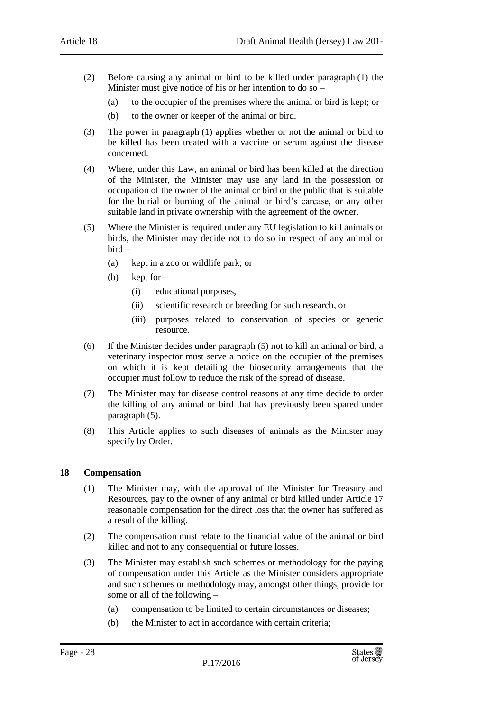- (2) Before causing any animal or bird to be killed under paragraph (1) the Minister must give notice of his or her intention to do so –
	- (a) to the occupier of the premises where the animal or bird is kept; or
	- (b) to the owner or keeper of the animal or bird.
- (3) The power in paragraph (1) applies whether or not the animal or bird to be killed has been treated with a vaccine or serum against the disease concerned.
- (4) Where, under this Law, an animal or bird has been killed at the direction of the Minister, the Minister may use any land in the possession or occupation of the owner of the animal or bird or the public that is suitable for the burial or burning of the animal or bird's carcase, or any other suitable land in private ownership with the agreement of the owner.
- (5) Where the Minister is required under any EU legislation to kill animals or birds, the Minister may decide not to do so in respect of any animal or bird –
	- (a) kept in a zoo or wildlife park; or
	- (b) kept for  $-$ 
		- (i) educational purposes,
		- (ii) scientific research or breeding for such research, or
		- (iii) purposes related to conservation of species or genetic resource.
- (6) If the Minister decides under paragraph (5) not to kill an animal or bird, a veterinary inspector must serve a notice on the occupier of the premises on which it is kept detailing the biosecurity arrangements that the occupier must follow to reduce the risk of the spread of disease.
- (7) The Minister may for disease control reasons at any time decide to order the killing of any animal or bird that has previously been spared under paragraph (5).
- (8) This Article applies to such diseases of animals as the Minister may specify by Order.

## <span id="page-27-0"></span>**18 Compensation**

- (1) The Minister may, with the approval of the Minister for Treasury and Resources, pay to the owner of any animal or bird killed under Article 17 reasonable compensation for the direct loss that the owner has suffered as a result of the killing.
- (2) The compensation must relate to the financial value of the animal or bird killed and not to any consequential or future losses.
- (3) The Minister may establish such schemes or methodology for the paying of compensation under this Article as the Minister considers appropriate and such schemes or methodology may, amongst other things, provide for some or all of the following –
	- (a) compensation to be limited to certain circumstances or diseases;
	- (b) the Minister to act in accordance with certain criteria;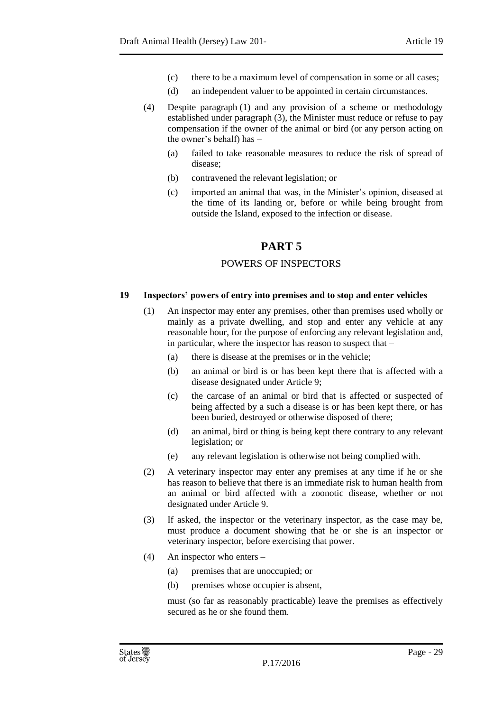- (c) there to be a maximum level of compensation in some or all cases;
- (d) an independent valuer to be appointed in certain circumstances.
- (4) Despite paragraph (1) and any provision of a scheme or methodology established under paragraph (3), the Minister must reduce or refuse to pay compensation if the owner of the animal or bird (or any person acting on the owner's behalf) has –
	- (a) failed to take reasonable measures to reduce the risk of spread of disease;
	- (b) contravened the relevant legislation; or
	- (c) imported an animal that was, in the Minister's opinion, diseased at the time of its landing or, before or while being brought from outside the Island, exposed to the infection or disease.

## **PART 5**

## POWERS OF INSPECTORS

## <span id="page-28-2"></span><span id="page-28-1"></span><span id="page-28-0"></span>**19 Inspectors' powers of entry into premises and to stop and enter vehicles**

- (1) An inspector may enter any premises, other than premises used wholly or mainly as a private dwelling, and stop and enter any vehicle at any reasonable hour, for the purpose of enforcing any relevant legislation and, in particular, where the inspector has reason to suspect that –
	- (a) there is disease at the premises or in the vehicle;
	- (b) an animal or bird is or has been kept there that is affected with a disease designated under Article 9;
	- (c) the carcase of an animal or bird that is affected or suspected of being affected by a such a disease is or has been kept there, or has been buried, destroyed or otherwise disposed of there;
	- (d) an animal, bird or thing is being kept there contrary to any relevant legislation; or
	- (e) any relevant legislation is otherwise not being complied with.
- (2) A veterinary inspector may enter any premises at any time if he or she has reason to believe that there is an immediate risk to human health from an animal or bird affected with a zoonotic disease, whether or not designated under Article 9.
- (3) If asked, the inspector or the veterinary inspector, as the case may be, must produce a document showing that he or she is an inspector or veterinary inspector, before exercising that power.
- (4) An inspector who enters
	- (a) premises that are unoccupied; or
	- (b) premises whose occupier is absent,

must (so far as reasonably practicable) leave the premises as effectively secured as he or she found them.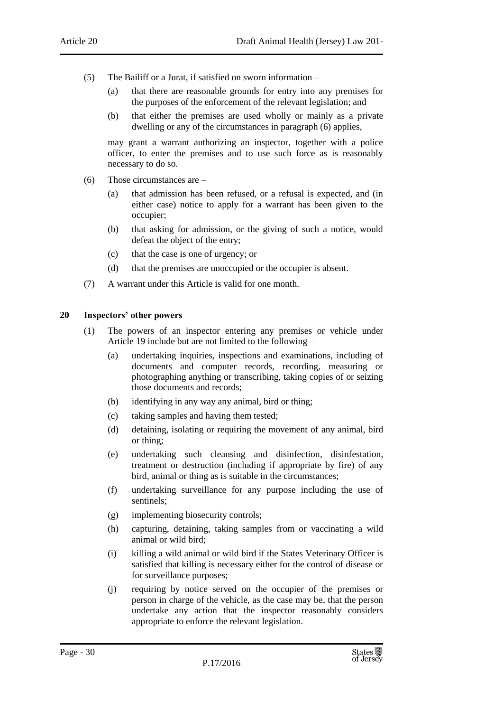- (5) The Bailiff or a Jurat, if satisfied on sworn information
	- (a) that there are reasonable grounds for entry into any premises for the purposes of the enforcement of the relevant legislation; and
	- (b) that either the premises are used wholly or mainly as a private dwelling or any of the circumstances in paragraph (6) applies,

may grant a warrant authorizing an inspector, together with a police officer, to enter the premises and to use such force as is reasonably necessary to do so.

- (6) Those circumstances are
	- (a) that admission has been refused, or a refusal is expected, and (in either case) notice to apply for a warrant has been given to the occupier;
	- (b) that asking for admission, or the giving of such a notice, would defeat the object of the entry;
	- (c) that the case is one of urgency; or
	- (d) that the premises are unoccupied or the occupier is absent.
- (7) A warrant under this Article is valid for one month.

#### <span id="page-29-0"></span>**20 Inspectors' other powers**

- (1) The powers of an inspector entering any premises or vehicle under Article 19 include but are not limited to the following –
	- (a) undertaking inquiries, inspections and examinations, including of documents and computer records, recording, measuring or photographing anything or transcribing, taking copies of or seizing those documents and records;
	- (b) identifying in any way any animal, bird or thing;
	- (c) taking samples and having them tested;
	- (d) detaining, isolating or requiring the movement of any animal, bird or thing;
	- (e) undertaking such cleansing and disinfection, disinfestation, treatment or destruction (including if appropriate by fire) of any bird, animal or thing as is suitable in the circumstances;
	- (f) undertaking surveillance for any purpose including the use of sentinels;
	- (g) implementing biosecurity controls;
	- (h) capturing, detaining, taking samples from or vaccinating a wild animal or wild bird;
	- (i) killing a wild animal or wild bird if the States Veterinary Officer is satisfied that killing is necessary either for the control of disease or for surveillance purposes;
	- (j) requiring by notice served on the occupier of the premises or person in charge of the vehicle, as the case may be, that the person undertake any action that the inspector reasonably considers appropriate to enforce the relevant legislation.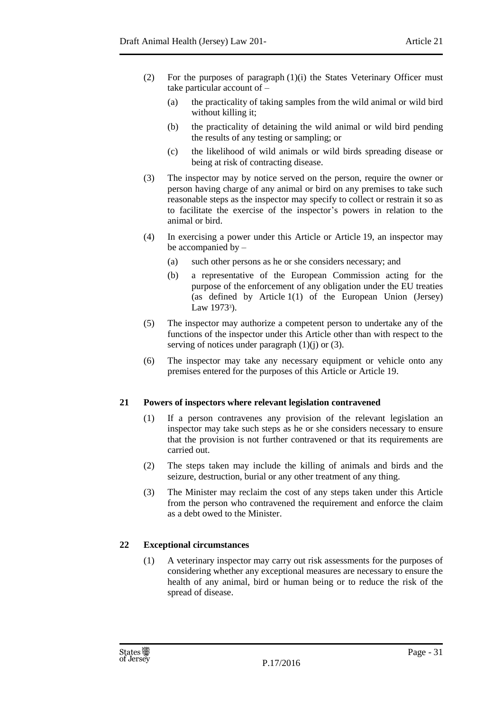- (2) For the purposes of paragraph (1)(i) the States Veterinary Officer must take particular account of –
	- (a) the practicality of taking samples from the wild animal or wild bird without killing it;
	- (b) the practicality of detaining the wild animal or wild bird pending the results of any testing or sampling; or
	- (c) the likelihood of wild animals or wild birds spreading disease or being at risk of contracting disease.
- (3) The inspector may by notice served on the person, require the owner or person having charge of any animal or bird on any premises to take such reasonable steps as the inspector may specify to collect or restrain it so as to facilitate the exercise of the inspector's powers in relation to the animal or bird.
- (4) In exercising a power under this Article or Article 19, an inspector may be accompanied by –
	- (a) such other persons as he or she considers necessary; and
	- (b) a representative of the European Commission acting for the purpose of the enforcement of any obligation under the EU treaties (as defined by Article 1(1) of the European Union (Jersey) Law 1973<sup>3</sup>).
- (5) The inspector may authorize a competent person to undertake any of the functions of the inspector under this Article other than with respect to the serving of notices under paragraph  $(1)(j)$  or  $(3)$ .
- (6) The inspector may take any necessary equipment or vehicle onto any premises entered for the purposes of this Article or Article 19.

## <span id="page-30-0"></span>**21 Powers of inspectors where relevant legislation contravened**

- (1) If a person contravenes any provision of the relevant legislation an inspector may take such steps as he or she considers necessary to ensure that the provision is not further contravened or that its requirements are carried out.
- (2) The steps taken may include the killing of animals and birds and the seizure, destruction, burial or any other treatment of any thing.
- (3) The Minister may reclaim the cost of any steps taken under this Article from the person who contravened the requirement and enforce the claim as a debt owed to the Minister.

## <span id="page-30-1"></span>**22 Exceptional circumstances**

(1) A veterinary inspector may carry out risk assessments for the purposes of considering whether any exceptional measures are necessary to ensure the health of any animal, bird or human being or to reduce the risk of the spread of disease.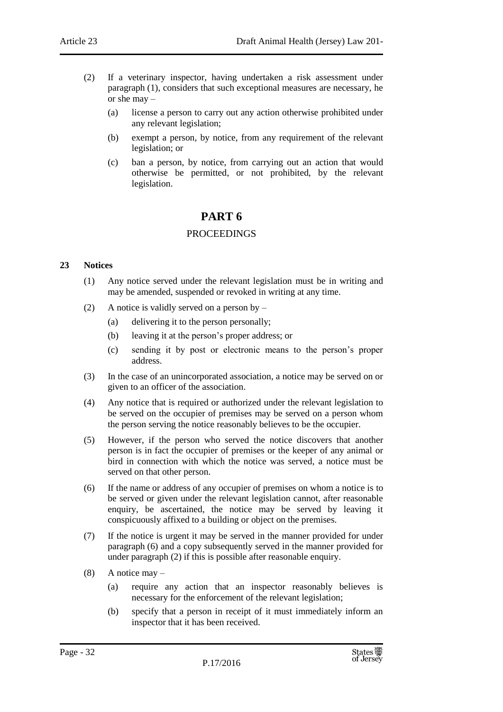- (2) If a veterinary inspector, having undertaken a risk assessment under paragraph (1), considers that such exceptional measures are necessary, he or she may –
	- (a) license a person to carry out any action otherwise prohibited under any relevant legislation;
	- (b) exempt a person, by notice, from any requirement of the relevant legislation; or
	- (c) ban a person, by notice, from carrying out an action that would otherwise be permitted, or not prohibited, by the relevant legislation.

## **PART 6**

## PROCEEDINGS

## <span id="page-31-2"></span><span id="page-31-1"></span><span id="page-31-0"></span>**23 Notices**

- (1) Any notice served under the relevant legislation must be in writing and may be amended, suspended or revoked in writing at any time.
- (2) A notice is validly served on a person by  $-$ 
	- (a) delivering it to the person personally;
	- (b) leaving it at the person's proper address; or
	- (c) sending it by post or electronic means to the person's proper address.
- (3) In the case of an unincorporated association, a notice may be served on or given to an officer of the association.
- (4) Any notice that is required or authorized under the relevant legislation to be served on the occupier of premises may be served on a person whom the person serving the notice reasonably believes to be the occupier.
- (5) However, if the person who served the notice discovers that another person is in fact the occupier of premises or the keeper of any animal or bird in connection with which the notice was served, a notice must be served on that other person.
- (6) If the name or address of any occupier of premises on whom a notice is to be served or given under the relevant legislation cannot, after reasonable enquiry, be ascertained, the notice may be served by leaving it conspicuously affixed to a building or object on the premises.
- (7) If the notice is urgent it may be served in the manner provided for under paragraph (6) and a copy subsequently served in the manner provided for under paragraph (2) if this is possible after reasonable enquiry.
- $(8)$  A notice may
	- (a) require any action that an inspector reasonably believes is necessary for the enforcement of the relevant legislation;
	- (b) specify that a person in receipt of it must immediately inform an inspector that it has been received.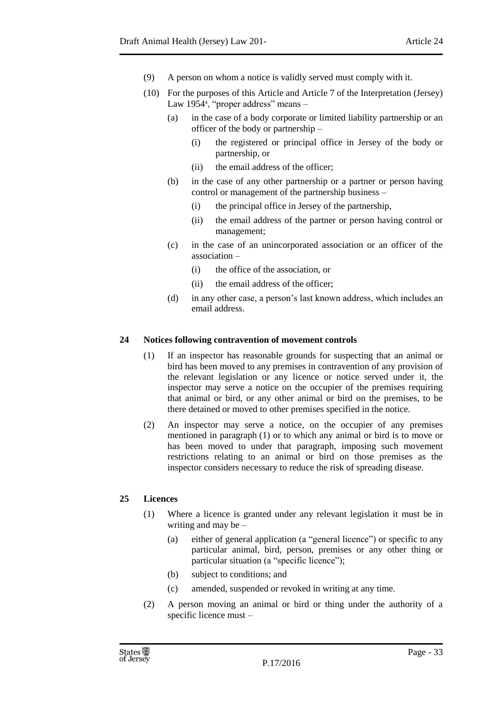- (9) A person on whom a notice is validly served must comply with it.
- (10) For the purposes of this Article and Article 7 of the Interpretation (Jersey) Law 1954<sup>4</sup> , "proper address" means –
	- (a) in the case of a body corporate or limited liability partnership or an officer of the body or partnership –
		- (i) the registered or principal office in Jersey of the body or partnership, or
		- (ii) the email address of the officer;
	- (b) in the case of any other partnership or a partner or person having control or management of the partnership business –
		- (i) the principal office in Jersey of the partnership,
		- (ii) the email address of the partner or person having control or management;
	- (c) in the case of an unincorporated association or an officer of the association –
		- (i) the office of the association, or
		- (ii) the email address of the officer;
	- (d) in any other case, a person's last known address, which includes an email address.

## <span id="page-32-0"></span>**24 Notices following contravention of movement controls**

- (1) If an inspector has reasonable grounds for suspecting that an animal or bird has been moved to any premises in contravention of any provision of the relevant legislation or any licence or notice served under it, the inspector may serve a notice on the occupier of the premises requiring that animal or bird, or any other animal or bird on the premises, to be there detained or moved to other premises specified in the notice.
- (2) An inspector may serve a notice, on the occupier of any premises mentioned in paragraph (1) or to which any animal or bird is to move or has been moved to under that paragraph, imposing such movement restrictions relating to an animal or bird on those premises as the inspector considers necessary to reduce the risk of spreading disease.

## <span id="page-32-1"></span>**25 Licences**

- (1) Where a licence is granted under any relevant legislation it must be in writing and may be –
	- (a) either of general application (a "general licence") or specific to any particular animal, bird, person, premises or any other thing or particular situation (a "specific licence");
	- (b) subject to conditions; and
	- (c) amended, suspended or revoked in writing at any time.
- (2) A person moving an animal or bird or thing under the authority of a specific licence must –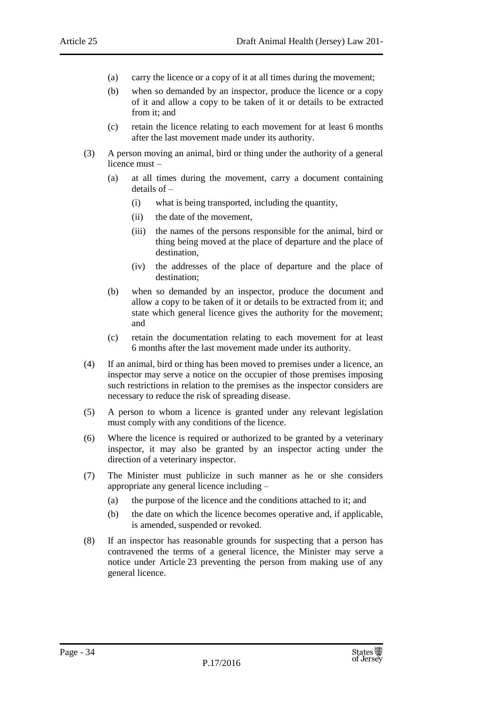- (a) carry the licence or a copy of it at all times during the movement;
- (b) when so demanded by an inspector, produce the licence or a copy of it and allow a copy to be taken of it or details to be extracted from it; and
- (c) retain the licence relating to each movement for at least 6 months after the last movement made under its authority.
- (3) A person moving an animal, bird or thing under the authority of a general licence must –
	- (a) at all times during the movement, carry a document containing details of –
		- (i) what is being transported, including the quantity,
		- (ii) the date of the movement,
		- (iii) the names of the persons responsible for the animal, bird or thing being moved at the place of departure and the place of destination,
		- (iv) the addresses of the place of departure and the place of destination;
	- (b) when so demanded by an inspector, produce the document and allow a copy to be taken of it or details to be extracted from it; and state which general licence gives the authority for the movement; and
	- (c) retain the documentation relating to each movement for at least 6 months after the last movement made under its authority.
- (4) If an animal, bird or thing has been moved to premises under a licence, an inspector may serve a notice on the occupier of those premises imposing such restrictions in relation to the premises as the inspector considers are necessary to reduce the risk of spreading disease.
- (5) A person to whom a licence is granted under any relevant legislation must comply with any conditions of the licence.
- (6) Where the licence is required or authorized to be granted by a veterinary inspector, it may also be granted by an inspector acting under the direction of a veterinary inspector.
- (7) The Minister must publicize in such manner as he or she considers appropriate any general licence including –
	- (a) the purpose of the licence and the conditions attached to it; and
	- (b) the date on which the licence becomes operative and, if applicable, is amended, suspended or revoked.
- (8) If an inspector has reasonable grounds for suspecting that a person has contravened the terms of a general licence, the Minister may serve a notice under Article 23 preventing the person from making use of any general licence.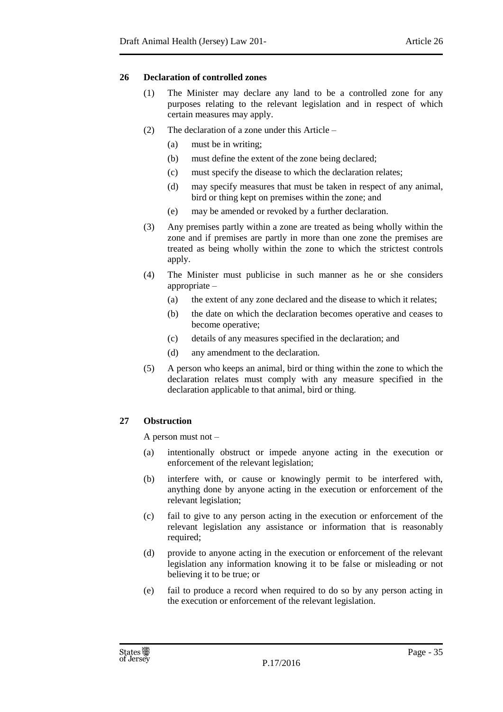## <span id="page-34-0"></span>**26 Declaration of controlled zones**

- (1) The Minister may declare any land to be a controlled zone for any purposes relating to the relevant legislation and in respect of which certain measures may apply.
- (2) The declaration of a zone under this Article
	- (a) must be in writing;
	- (b) must define the extent of the zone being declared;
	- (c) must specify the disease to which the declaration relates;
	- (d) may specify measures that must be taken in respect of any animal, bird or thing kept on premises within the zone; and
	- (e) may be amended or revoked by a further declaration.
- (3) Any premises partly within a zone are treated as being wholly within the zone and if premises are partly in more than one zone the premises are treated as being wholly within the zone to which the strictest controls apply.
- (4) The Minister must publicise in such manner as he or she considers appropriate –
	- (a) the extent of any zone declared and the disease to which it relates;
	- (b) the date on which the declaration becomes operative and ceases to become operative;
	- (c) details of any measures specified in the declaration; and
	- (d) any amendment to the declaration.
- (5) A person who keeps an animal, bird or thing within the zone to which the declaration relates must comply with any measure specified in the declaration applicable to that animal, bird or thing.

## <span id="page-34-1"></span>**27 Obstruction**

A person must not –

- (a) intentionally obstruct or impede anyone acting in the execution or enforcement of the relevant legislation;
- (b) interfere with, or cause or knowingly permit to be interfered with, anything done by anyone acting in the execution or enforcement of the relevant legislation;
- (c) fail to give to any person acting in the execution or enforcement of the relevant legislation any assistance or information that is reasonably required;
- (d) provide to anyone acting in the execution or enforcement of the relevant legislation any information knowing it to be false or misleading or not believing it to be true; or
- (e) fail to produce a record when required to do so by any person acting in the execution or enforcement of the relevant legislation.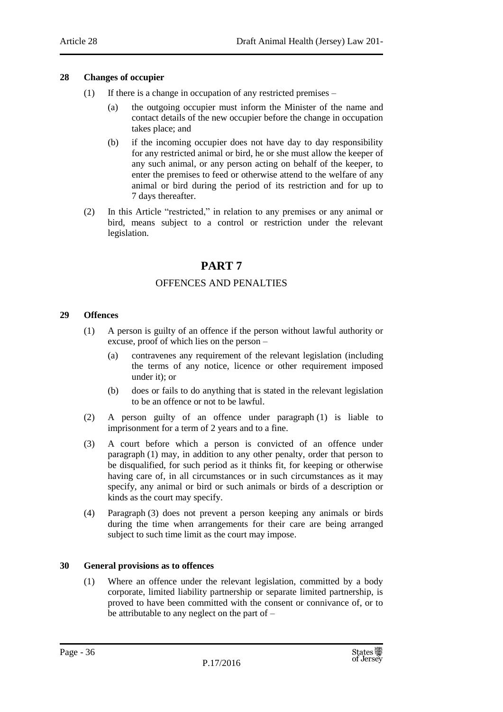## <span id="page-35-0"></span>**28 Changes of occupier**

- (1) If there is a change in occupation of any restricted premises
	- (a) the outgoing occupier must inform the Minister of the name and contact details of the new occupier before the change in occupation takes place; and
	- (b) if the incoming occupier does not have day to day responsibility for any restricted animal or bird, he or she must allow the keeper of any such animal, or any person acting on behalf of the keeper, to enter the premises to feed or otherwise attend to the welfare of any animal or bird during the period of its restriction and for up to 7 days thereafter.
- <span id="page-35-1"></span>(2) In this Article "restricted," in relation to any premises or any animal or bird, means subject to a control or restriction under the relevant legislation.

## **PART 7**

## OFFENCES AND PENALTIES

## <span id="page-35-3"></span><span id="page-35-2"></span>**29 Offences**

- (1) A person is guilty of an offence if the person without lawful authority or excuse, proof of which lies on the person –
	- (a) contravenes any requirement of the relevant legislation (including the terms of any notice, licence or other requirement imposed under it); or
	- (b) does or fails to do anything that is stated in the relevant legislation to be an offence or not to be lawful.
- (2) A person guilty of an offence under paragraph (1) is liable to imprisonment for a term of 2 years and to a fine.
- (3) A court before which a person is convicted of an offence under paragraph (1) may, in addition to any other penalty, order that person to be disqualified, for such period as it thinks fit, for keeping or otherwise having care of, in all circumstances or in such circumstances as it may specify, any animal or bird or such animals or birds of a description or kinds as the court may specify.
- (4) Paragraph (3) does not prevent a person keeping any animals or birds during the time when arrangements for their care are being arranged subject to such time limit as the court may impose.

## <span id="page-35-4"></span>**30 General provisions as to offences**

(1) Where an offence under the relevant legislation, committed by a body corporate, limited liability partnership or separate limited partnership, is proved to have been committed with the consent or connivance of, or to be attributable to any neglect on the part of –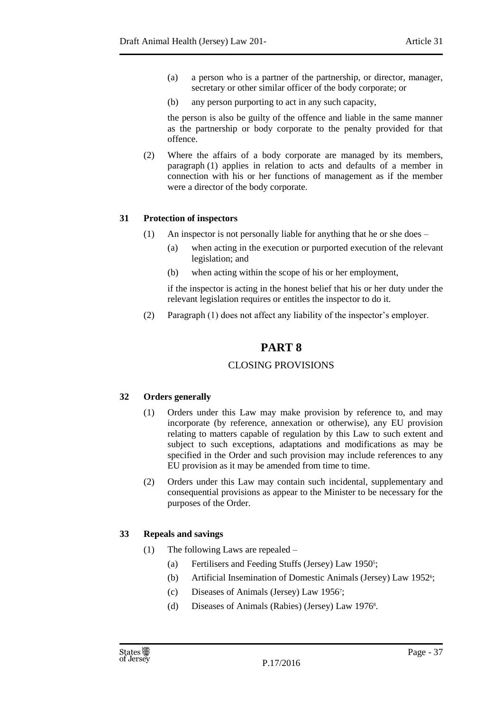- (a) a person who is a partner of the partnership, or director, manager, secretary or other similar officer of the body corporate; or
- (b) any person purporting to act in any such capacity,

the person is also be guilty of the offence and liable in the same manner as the partnership or body corporate to the penalty provided for that offence.

(2) Where the affairs of a body corporate are managed by its members, paragraph (1) applies in relation to acts and defaults of a member in connection with his or her functions of management as if the member were a director of the body corporate.

## <span id="page-36-0"></span>**31 Protection of inspectors**

- (1) An inspector is not personally liable for anything that he or she does
	- (a) when acting in the execution or purported execution of the relevant legislation; and
	- (b) when acting within the scope of his or her employment,

if the inspector is acting in the honest belief that his or her duty under the relevant legislation requires or entitles the inspector to do it.

<span id="page-36-1"></span>(2) Paragraph (1) does not affect any liability of the inspector's employer.

## **PART 8**

## CLOSING PROVISIONS

## <span id="page-36-3"></span><span id="page-36-2"></span>**32 Orders generally**

- (1) Orders under this Law may make provision by reference to, and may incorporate (by reference, annexation or otherwise), any EU provision relating to matters capable of regulation by this Law to such extent and subject to such exceptions, adaptations and modifications as may be specified in the Order and such provision may include references to any EU provision as it may be amended from time to time.
- (2) Orders under this Law may contain such incidental, supplementary and consequential provisions as appear to the Minister to be necessary for the purposes of the Order.

## <span id="page-36-4"></span>**33 Repeals and savings**

- (1) The following Laws are repealed
	- (a) Fertilisers and Feeding Stuffs (Jersey) Law 1950<sup>5</sup>;
	- (b) Artificial Insemination of Domestic Animals (Jersey) Law 1952<sup>6</sup>;
	- (c) Diseases of Animals (Jersey) Law 1956<sup>7</sup> ;
	- (d) Diseases of Animals (Rabies) (Jersey) Law 1976<sup>8</sup> .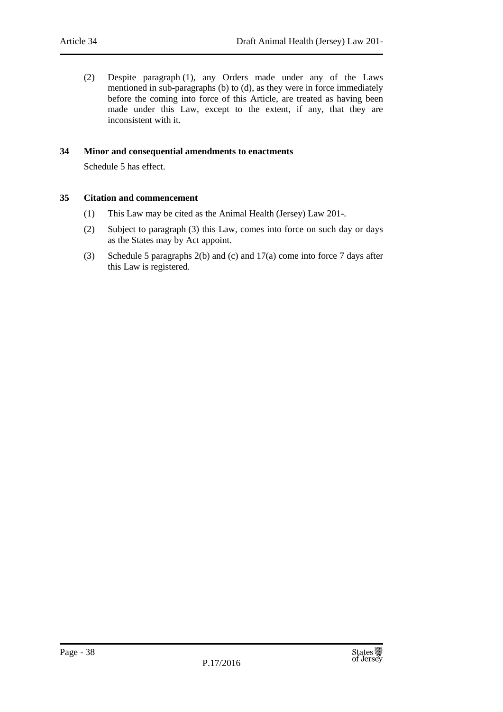(2) Despite paragraph (1), any Orders made under any of the Laws mentioned in sub-paragraphs (b) to (d), as they were in force immediately before the coming into force of this Article, are treated as having been made under this Law, except to the extent, if any, that they are inconsistent with it.

## <span id="page-37-0"></span>**34 Minor and consequential amendments to enactments**

Schedule 5 has effect.

## <span id="page-37-1"></span>**35 Citation and commencement**

- (1) This Law may be cited as the Animal Health (Jersey) Law 201-.
- (2) Subject to paragraph (3) this Law, comes into force on such day or days as the States may by Act appoint.
- (3) Schedule 5 paragraphs 2(b) and (c) and 17(a) come into force 7 days after this Law is registered.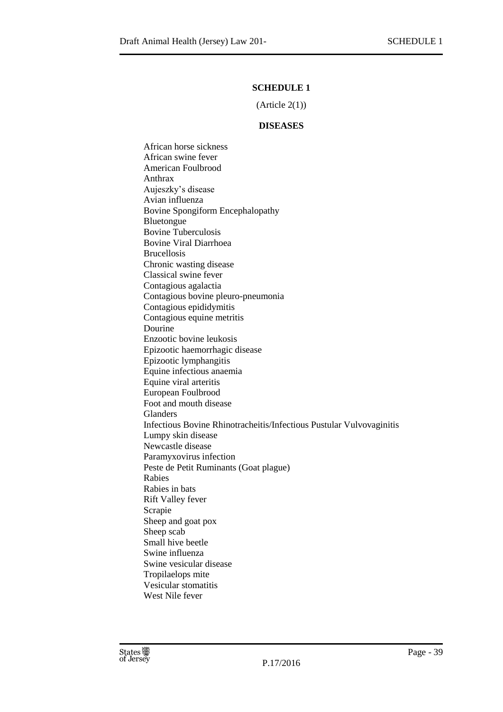## **SCHEDULE 1**

 $(A<sup>rt</sup>icle 2(1))$ 

#### **DISEASES**

<span id="page-38-1"></span><span id="page-38-0"></span>African horse sickness African swine fever American Foulbrood Anthrax Aujeszky's disease Avian influenza Bovine Spongiform Encephalopathy Bluetongue Bovine Tuberculosis Bovine Viral Diarrhoea Brucellosis Chronic wasting disease Classical swine fever Contagious agalactia Contagious bovine pleuro-pneumonia Contagious epididymitis Contagious equine metritis Dourine Enzootic bovine leukosis Epizootic haemorrhagic disease Epizootic lymphangitis Equine infectious anaemia Equine viral arteritis European Foulbrood Foot and mouth disease Glanders Infectious Bovine Rhinotracheitis/Infectious Pustular Vulvovaginitis Lumpy skin disease Newcastle disease Paramyxovirus infection Peste de Petit Ruminants (Goat plague) Rabies Rabies in bats Rift Valley fever Scrapie Sheep and goat pox Sheep scab Small hive beetle Swine influenza Swine vesicular disease Tropilaelops mite Vesicular stomatitis West Nile fever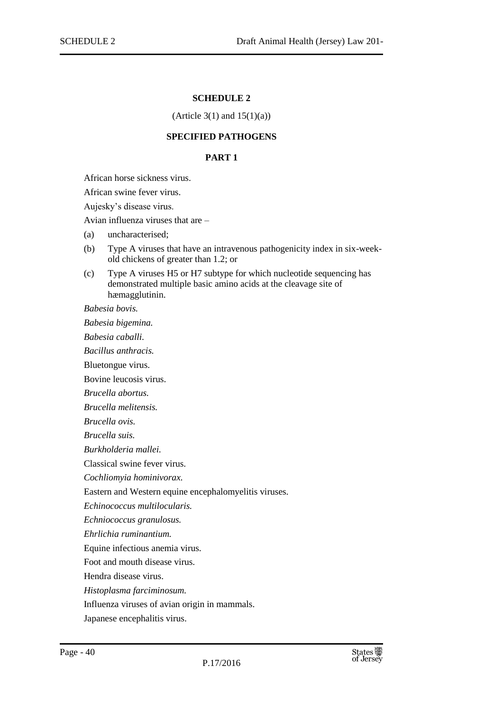#### **SCHEDULE 2**

#### (Article  $3(1)$  and  $15(1)(a)$ )

## **SPECIFIED PATHOGENS**

#### **PART 1**

<span id="page-39-2"></span><span id="page-39-1"></span><span id="page-39-0"></span>African horse sickness virus.

African swine fever virus.

Aujesky's disease virus.

Avian influenza viruses that are –

- (a) uncharacterised;
- (b) Type A viruses that have an intravenous pathogenicity index in six-weekold chickens of greater than 1.2; or
- (c) Type A viruses H5 or H7 subtype for which nucleotide sequencing has demonstrated multiple basic amino acids at the cleavage site of hæmagglutinin.

*Babesia bovis.*

*Babesia bigemina.*

*Babesia caballi.*

*Bacillus anthracis.*

Bluetongue virus.

Bovine leucosis virus.

*Brucella abortus.*

*Brucella melitensis.*

*Brucella ovis.*

*Brucella suis.*

*Burkholderia mallei.*

Classical swine fever virus.

*Cochliomyia hominivorax.*

Eastern and Western equine encephalomyelitis viruses.

*Echinococcus multilocularis.*

*Echniococcus granulosus.*

*Ehrlichia ruminantium.*

Equine infectious anemia virus.

Foot and mouth disease virus.

Hendra disease virus.

*Histoplasma farciminosum.*

Influenza viruses of avian origin in mammals.

Japanese encephalitis virus.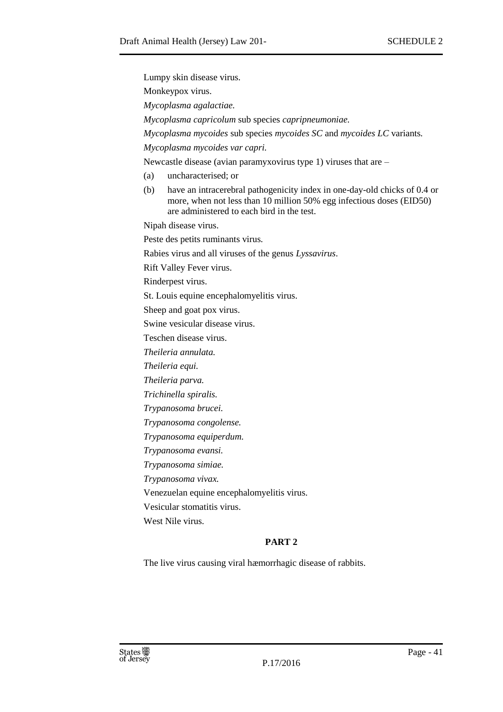| Lumpy skin disease virus.                                                                                                                                                                              |  |  |  |  |
|--------------------------------------------------------------------------------------------------------------------------------------------------------------------------------------------------------|--|--|--|--|
| Monkeypox virus.                                                                                                                                                                                       |  |  |  |  |
| Mycoplasma agalactiae.                                                                                                                                                                                 |  |  |  |  |
| Mycoplasma capricolum sub species capripneumoniae.                                                                                                                                                     |  |  |  |  |
| Mycoplasma mycoides sub species mycoides SC and mycoides LC variants.                                                                                                                                  |  |  |  |  |
| Mycoplasma mycoides var capri.                                                                                                                                                                         |  |  |  |  |
| Newcastle disease (avian paramyxovirus type 1) viruses that are $-$                                                                                                                                    |  |  |  |  |
| uncharacterised; or<br>(a)                                                                                                                                                                             |  |  |  |  |
| have an intracerebral pathogenicity index in one-day-old chicks of 0.4 or<br>(b)<br>more, when not less than 10 million 50% egg infectious doses (EID50)<br>are administered to each bird in the test. |  |  |  |  |
| Nipah disease virus.                                                                                                                                                                                   |  |  |  |  |
| Peste des petits ruminants virus.                                                                                                                                                                      |  |  |  |  |
| Rabies virus and all viruses of the genus Lyssavirus.                                                                                                                                                  |  |  |  |  |
| Rift Valley Fever virus.                                                                                                                                                                               |  |  |  |  |
| Rinderpest virus.                                                                                                                                                                                      |  |  |  |  |
| St. Louis equine encephalomyelitis virus.                                                                                                                                                              |  |  |  |  |
| Sheep and goat pox virus.                                                                                                                                                                              |  |  |  |  |
| Swine vesicular disease virus.                                                                                                                                                                         |  |  |  |  |
| Teschen disease virus.                                                                                                                                                                                 |  |  |  |  |
| Theileria annulata.                                                                                                                                                                                    |  |  |  |  |
| Theileria equi.                                                                                                                                                                                        |  |  |  |  |
| Theileria parva.                                                                                                                                                                                       |  |  |  |  |
| Trichinella spiralis.                                                                                                                                                                                  |  |  |  |  |
| Trypanosoma brucei.                                                                                                                                                                                    |  |  |  |  |
| Trypanosoma congolense.                                                                                                                                                                                |  |  |  |  |
| Trypanosoma equiperdum.                                                                                                                                                                                |  |  |  |  |
| Trypanosoma evansi.                                                                                                                                                                                    |  |  |  |  |
| Trypanosoma simiae.                                                                                                                                                                                    |  |  |  |  |
| Trypanosoma vivax.                                                                                                                                                                                     |  |  |  |  |
| Venezuelan equine encephalomyelitis virus.                                                                                                                                                             |  |  |  |  |
| Vesicular stomatitis virus.                                                                                                                                                                            |  |  |  |  |
| West Nile virus.                                                                                                                                                                                       |  |  |  |  |
| PART <sub>2</sub>                                                                                                                                                                                      |  |  |  |  |

<span id="page-40-0"></span>The live virus causing viral hæmorrhagic disease of rabbits.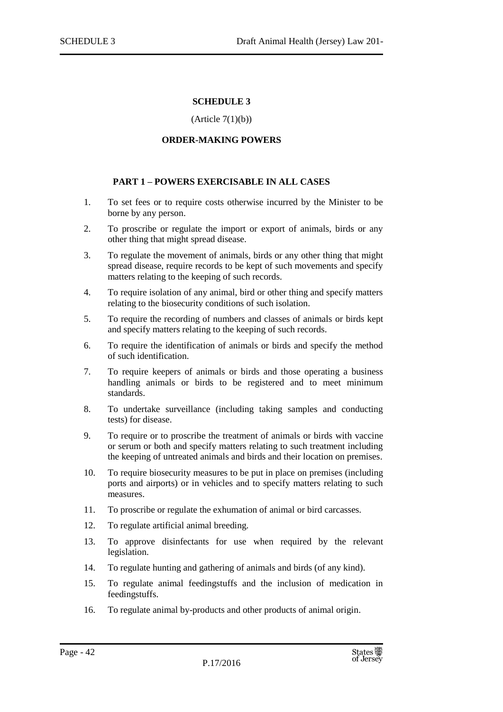## **SCHEDULE 3**

#### $(Article 7(1)(b))$

#### **ORDER-MAKING POWERS**

#### <span id="page-41-0"></span>**PART 1 – POWERS EXERCISABLE IN ALL CASES**

- <span id="page-41-2"></span><span id="page-41-1"></span>1. To set fees or to require costs otherwise incurred by the Minister to be borne by any person.
- 2. To proscribe or regulate the import or export of animals, birds or any other thing that might spread disease.
- 3. To regulate the movement of animals, birds or any other thing that might spread disease, require records to be kept of such movements and specify matters relating to the keeping of such records.
- 4. To require isolation of any animal, bird or other thing and specify matters relating to the biosecurity conditions of such isolation.
- 5. To require the recording of numbers and classes of animals or birds kept and specify matters relating to the keeping of such records.
- 6. To require the identification of animals or birds and specify the method of such identification.
- 7. To require keepers of animals or birds and those operating a business handling animals or birds to be registered and to meet minimum standards.
- 8. To undertake surveillance (including taking samples and conducting tests) for disease.
- 9. To require or to proscribe the treatment of animals or birds with vaccine or serum or both and specify matters relating to such treatment including the keeping of untreated animals and birds and their location on premises.
- 10. To require biosecurity measures to be put in place on premises (including ports and airports) or in vehicles and to specify matters relating to such measures.
- 11. To proscribe or regulate the exhumation of animal or bird carcasses.
- 12. To regulate artificial animal breeding.
- 13. To approve disinfectants for use when required by the relevant legislation.
- 14. To regulate hunting and gathering of animals and birds (of any kind).
- 15. To regulate animal feedingstuffs and the inclusion of medication in feedingstuffs.
- 16. To regulate animal by-products and other products of animal origin.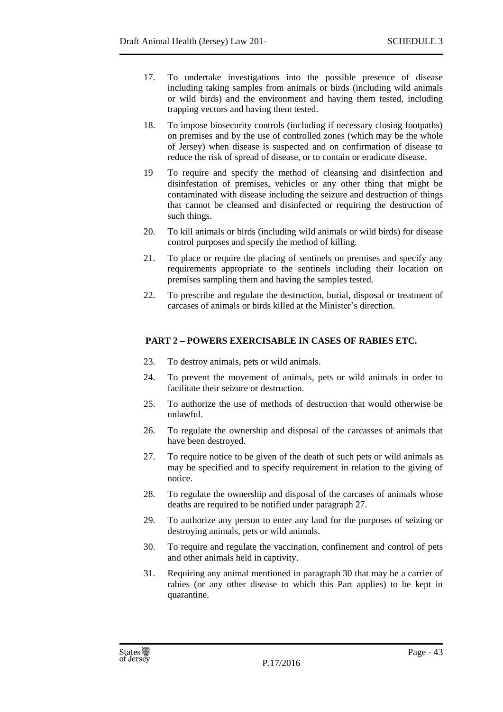- 17. To undertake investigations into the possible presence of disease including taking samples from animals or birds (including wild animals or wild birds) and the environment and having them tested, including trapping vectors and having them tested.
- 18. To impose biosecurity controls (including if necessary closing footpaths) on premises and by the use of controlled zones (which may be the whole of Jersey) when disease is suspected and on confirmation of disease to reduce the risk of spread of disease, or to contain or eradicate disease.
- 19 To require and specify the method of cleansing and disinfection and disinfestation of premises, vehicles or any other thing that might be contaminated with disease including the seizure and destruction of things that cannot be cleansed and disinfected or requiring the destruction of such things.
- 20. To kill animals or birds (including wild animals or wild birds) for disease control purposes and specify the method of killing.
- 21. To place or require the placing of sentinels on premises and specify any requirements appropriate to the sentinels including their location on premises sampling them and having the samples tested.
- 22. To prescribe and regulate the destruction, burial, disposal or treatment of carcases of animals or birds killed at the Minister's direction.

## <span id="page-42-0"></span>**PART 2 – POWERS EXERCISABLE IN CASES OF RABIES ETC.**

- 23. To destroy animals, pets or wild animals.
- 24. To prevent the movement of animals, pets or wild animals in order to facilitate their seizure or destruction.
- 25. To authorize the use of methods of destruction that would otherwise be unlawful.
- 26. To regulate the ownership and disposal of the carcasses of animals that have been destroyed.
- 27. To require notice to be given of the death of such pets or wild animals as may be specified and to specify requirement in relation to the giving of notice.
- 28. To regulate the ownership and disposal of the carcases of animals whose deaths are required to be notified under paragraph 27.
- 29. To authorize any person to enter any land for the purposes of seizing or destroying animals, pets or wild animals.
- 30. To require and regulate the vaccination, confinement and control of pets and other animals held in captivity.
- 31. Requiring any animal mentioned in paragraph 30 that may be a carrier of rabies (or any other disease to which this Part applies) to be kept in quarantine.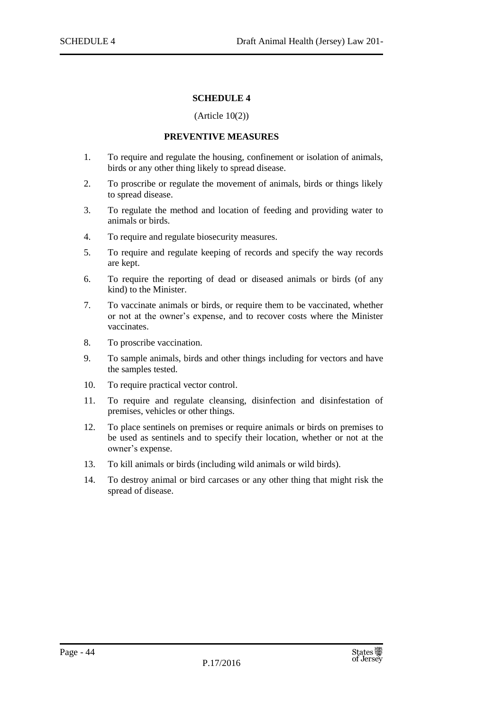#### **SCHEDULE 4**

#### (Article 10(2))

#### **PREVENTIVE MEASURES**

- <span id="page-43-1"></span><span id="page-43-0"></span>1. To require and regulate the housing, confinement or isolation of animals, birds or any other thing likely to spread disease.
- 2. To proscribe or regulate the movement of animals, birds or things likely to spread disease.
- 3. To regulate the method and location of feeding and providing water to animals or birds.
- 4. To require and regulate biosecurity measures.
- 5. To require and regulate keeping of records and specify the way records are kept.
- 6. To require the reporting of dead or diseased animals or birds (of any kind) to the Minister.
- 7. To vaccinate animals or birds, or require them to be vaccinated, whether or not at the owner's expense, and to recover costs where the Minister vaccinates.
- 8. To proscribe vaccination.
- 9. To sample animals, birds and other things including for vectors and have the samples tested.
- 10. To require practical vector control.
- 11. To require and regulate cleansing, disinfection and disinfestation of premises, vehicles or other things.
- 12. To place sentinels on premises or require animals or birds on premises to be used as sentinels and to specify their location, whether or not at the owner's expense.
- 13. To kill animals or birds (including wild animals or wild birds).
- 14. To destroy animal or bird carcases or any other thing that might risk the spread of disease.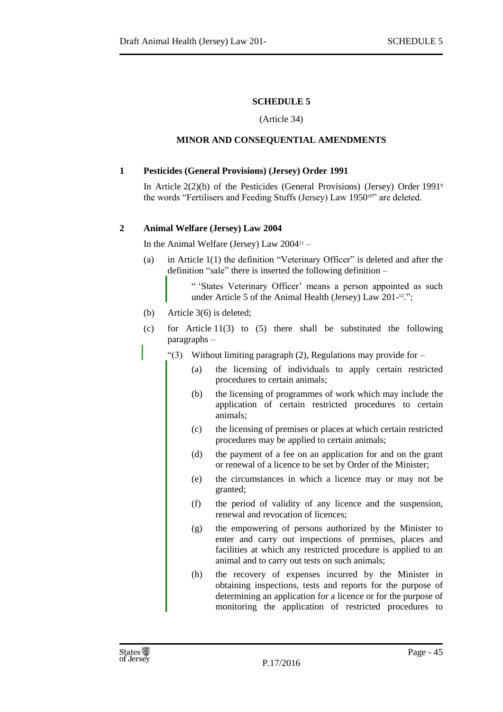## **SCHEDULE 5**

#### (Article 34)

## <span id="page-44-0"></span>**MINOR AND CONSEQUENTIAL AMENDMENTS**

## <span id="page-44-2"></span><span id="page-44-1"></span>**1 Pesticides (General Provisions) (Jersey) Order 1991**

In Article 2(2)(b) of the Pesticides (General Provisions) (Jersey) Order 1991<sup>9</sup> the words "Fertilisers and Feeding Stuffs (Jersey) Law 195010" are deleted.

## <span id="page-44-3"></span>**2 Animal Welfare (Jersey) Law 2004**

In the Animal Welfare (Jersey) Law  $2004$ <sup>11</sup> –

(a) in Article 1(1) the definition "Veterinary Officer" is deleted and after the definition "sale" there is inserted the following definition –

> " 'States Veterinary Officer' means a person appointed as such under Article 5 of the Animal Health (Jersey) Law 201-<sup>12</sup>.";

- (b) Article 3(6) is deleted;
- (c) for Article 11(3) to (5) there shall be substituted the following paragraphs –
	- " $(3)$  Without limiting paragraph  $(2)$ , Regulations may provide for
		- (a) the licensing of individuals to apply certain restricted procedures to certain animals;
		- (b) the licensing of programmes of work which may include the application of certain restricted procedures to certain animals;
		- (c) the licensing of premises or places at which certain restricted procedures may be applied to certain animals;
		- (d) the payment of a fee on an application for and on the grant or renewal of a licence to be set by Order of the Minister;
		- (e) the circumstances in which a licence may or may not be granted;
		- (f) the period of validity of any licence and the suspension, renewal and revocation of licences;
		- (g) the empowering of persons authorized by the Minister to enter and carry out inspections of premises, places and facilities at which any restricted procedure is applied to an animal and to carry out tests on such animals;
		- (h) the recovery of expenses incurred by the Minister in obtaining inspections, tests and reports for the purpose of determining an application for a licence or for the purpose of monitoring the application of restricted procedures to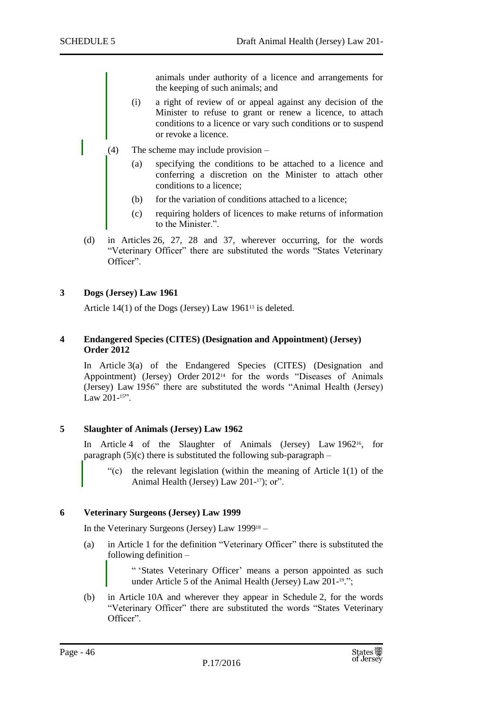animals under authority of a licence and arrangements for the keeping of such animals; and

- (i) a right of review of or appeal against any decision of the Minister to refuse to grant or renew a licence, to attach conditions to a licence or vary such conditions or to suspend or revoke a licence.
- (4) The scheme may include provision
	- (a) specifying the conditions to be attached to a licence and conferring a discretion on the Minister to attach other conditions to a licence;
	- (b) for the variation of conditions attached to a licence;
	- (c) requiring holders of licences to make returns of information to the Minister.".
- (d) in Articles 26, 27, 28 and 37, wherever occurring, for the words "Veterinary Officer" there are substituted the words "States Veterinary Officer".

#### <span id="page-45-0"></span>**3 Dogs (Jersey) Law 1961**

Article  $14(1)$  of the Dogs (Jersey) Law 1961<sup>13</sup> is deleted.

#### <span id="page-45-1"></span>**4 Endangered Species (CITES) (Designation and Appointment) (Jersey) Order 2012**

In Article 3(a) of the Endangered Species (CITES) (Designation and Appointment) (Jersey) Order 2012<sup>14</sup> for the words "Diseases of Animals (Jersey) Law 1956" there are substituted the words "Animal Health (Jersey) Law  $201 - 15$ ".

#### <span id="page-45-2"></span>**5 Slaughter of Animals (Jersey) Law 1962**

In Article 4 of the Slaughter of Animals (Jersey) Law 1962<sup>16</sup>, for paragraph  $(5)(c)$  there is substituted the following sub-paragraph –

"(c) the relevant legislation (within the meaning of Article 1(1) of the Animal Health (Jersey) Law 201-17); or".

#### <span id="page-45-3"></span>**6 Veterinary Surgeons (Jersey) Law 1999**

In the Veterinary Surgeons (Jersey) Law 1999<sup>18</sup> –

(a) in Article 1 for the definition "Veterinary Officer" there is substituted the following definition –

> " 'States Veterinary Officer' means a person appointed as such under Article 5 of the Animal Health (Jersey) Law 201-<sup>19</sup>.";

(b) in Article 10A and wherever they appear in Schedule 2, for the words "Veterinary Officer" there are substituted the words "States Veterinary Officer".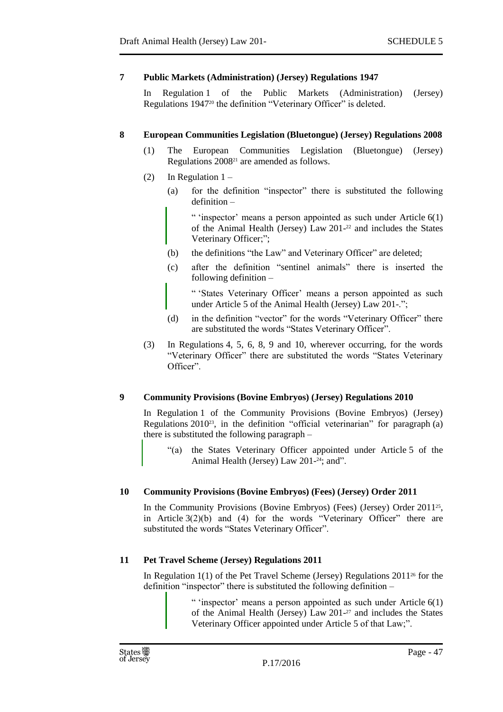## <span id="page-46-0"></span>**7 Public Markets (Administration) (Jersey) Regulations 1947**

In Regulation 1 of the Public Markets (Administration) (Jersey) Regulations 1947<sup>20</sup> the definition "Veterinary Officer" is deleted.

#### <span id="page-46-1"></span>**8 European Communities Legislation (Bluetongue) (Jersey) Regulations 2008**

- (1) The European Communities Legislation (Bluetongue) (Jersey) Regulations 2008<sup>21</sup> are amended as follows.
- (2) In Regulation  $1 -$ 
	- (a) for the definition "inspector" there is substituted the following definition –

" 'inspector' means a person appointed as such under Article 6(1) of the Animal Health (Jersey) Law 201- <sup>22</sup> and includes the States Veterinary Officer;";

- (b) the definitions "the Law" and Veterinary Officer" are deleted;
- (c) after the definition "sentinel animals" there is inserted the following definition –

" 'States Veterinary Officer' means a person appointed as such under Article 5 of the Animal Health (Jersey) Law 201-.";

- (d) in the definition "vector" for the words "Veterinary Officer" there are substituted the words "States Veterinary Officer".
- (3) In Regulations 4, 5, 6, 8, 9 and 10, wherever occurring, for the words "Veterinary Officer" there are substituted the words "States Veterinary Officer".

## <span id="page-46-2"></span>**9 Community Provisions (Bovine Embryos) (Jersey) Regulations 2010**

In Regulation 1 of the Community Provisions (Bovine Embryos) (Jersey) Regulations 2010<sup>23</sup>, in the definition "official veterinarian" for paragraph (a) there is substituted the following paragraph –

"(a) the States Veterinary Officer appointed under Article 5 of the Animal Health (Jersey) Law 201-<sup>24</sup>; and".

#### <span id="page-46-3"></span>**10 Community Provisions (Bovine Embryos) (Fees) (Jersey) Order 2011**

In the Community Provisions (Bovine Embryos) (Fees) (Jersey) Order 2011<sup>25</sup>, in Article 3(2)(b) and (4) for the words "Veterinary Officer" there are substituted the words "States Veterinary Officer".

## <span id="page-46-4"></span>**11 Pet Travel Scheme (Jersey) Regulations 2011**

In Regulation  $1(1)$  of the Pet Travel Scheme (Jersey) Regulations  $2011^{26}$  for the definition "inspector" there is substituted the following definition –

> " 'inspector' means a person appointed as such under Article 6(1) of the Animal Health (Jersey) Law 201- <sup>27</sup> and includes the States Veterinary Officer appointed under Article 5 of that Law;".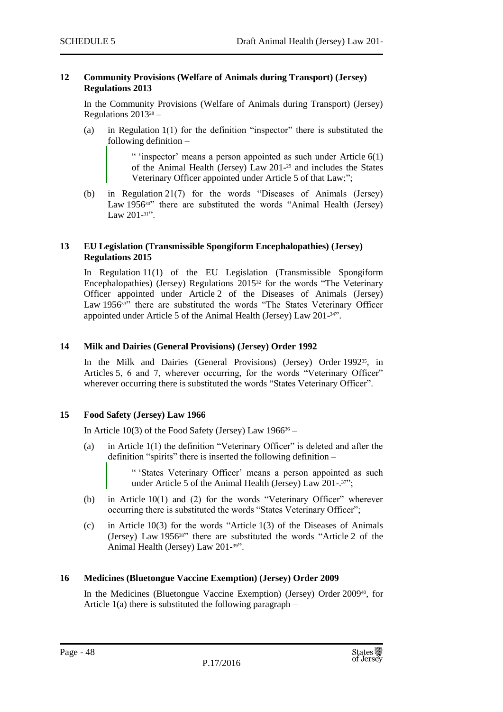#### <span id="page-47-0"></span>**12 Community Provisions (Welfare of Animals during Transport) (Jersey) Regulations 2013**

In the Community Provisions (Welfare of Animals during Transport) (Jersey) Regulations  $2013^{28}$  –

(a) in Regulation 1(1) for the definition "inspector" there is substituted the following definition –

> " 'inspector' means a person appointed as such under Article  $6(1)$ of the Animal Health (Jersey) Law 201- <sup>29</sup> and includes the States Veterinary Officer appointed under Article 5 of that Law;";

(b) in Regulation 21(7) for the words "Diseases of Animals (Jersey) Law 1956<sup>30</sup> there are substituted the words "Animal Health (Jersey) Law 201-<sup>31</sup>".

#### <span id="page-47-1"></span>**13 EU Legislation (Transmissible Spongiform Encephalopathies) (Jersey) Regulations 2015**

In Regulation 11(1) of the EU Legislation (Transmissible Spongiform Encephalopathies) (Jersey) Regulations 2015<sup>32</sup> for the words "The Veterinary Officer appointed under Article 2 of the Diseases of Animals (Jersey) Law 1956<sup>33</sup>" there are substituted the words "The States Veterinary Officer appointed under Article 5 of the Animal Health (Jersey) Law 201- <sup>34</sup>".

## <span id="page-47-2"></span>**14 Milk and Dairies (General Provisions) (Jersey) Order 1992**

In the Milk and Dairies (General Provisions) (Jersey) Order 1992<sup>35</sup>, in Articles 5, 6 and 7, wherever occurring, for the words "Veterinary Officer" wherever occurring there is substituted the words "States Veterinary Officer".

## <span id="page-47-3"></span>**15 Food Safety (Jersey) Law 1966**

In Article 10(3) of the Food Safety (Jersey) Law  $1966^{36}$  –

(a) in Article 1(1) the definition "Veterinary Officer" is deleted and after the definition "spirits" there is inserted the following definition –

> " 'States Veterinary Officer' means a person appointed as such under Article 5 of the Animal Health (Jersey) Law 201-.<sup>37"</sup>;

- (b) in Article 10(1) and (2) for the words "Veterinary Officer" wherever occurring there is substituted the words "States Veterinary Officer";
- (c) in Article 10(3) for the words "Article 1(3) of the Diseases of Animals (Jersey) Law 195638" there are substituted the words "Article 2 of the Animal Health (Jersey) Law 201- <sup>39</sup>".

#### <span id="page-47-4"></span>**16 Medicines (Bluetongue Vaccine Exemption) (Jersey) Order 2009**

In the Medicines (Bluetongue Vaccine Exemption) (Jersey) Order 200940, for Article  $1(a)$  there is substituted the following paragraph –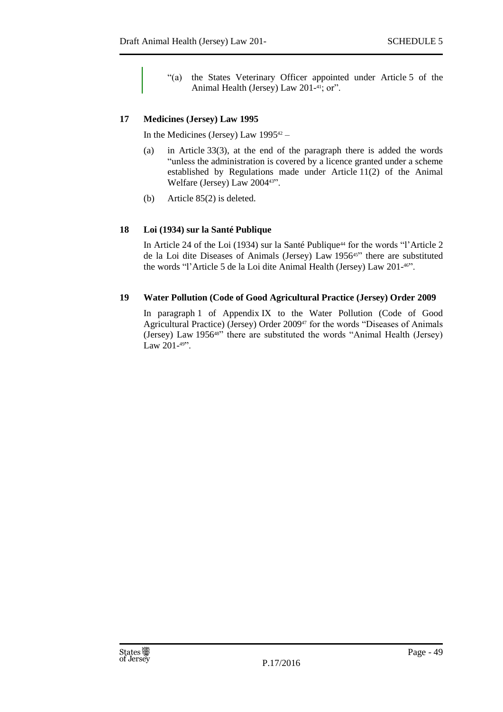"(a) the States Veterinary Officer appointed under Article 5 of the Animal Health (Jersey) Law 201-<sup>41</sup>; or".

## <span id="page-48-0"></span>**17 Medicines (Jersey) Law 1995**

In the Medicines (Jersey) Law  $1995^{42}$  –

- (a) in Article 33(3), at the end of the paragraph there is added the words "unless the administration is covered by a licence granted under a scheme established by Regulations made under Article 11(2) of the Animal Welfare (Jersey) Law 200443".
- (b) Article 85(2) is deleted.

## <span id="page-48-1"></span>**18 Loi (1934) sur la Santé Publique**

In Article 24 of the Loi (1934) sur la Santé Publique<sup>44</sup> for the words "l'Article 2 de la Loi dite Diseases of Animals (Jersey) Law 195645" there are substituted the words "l'Article 5 de la Loi dite Animal Health (Jersey) Law 201- <sup>46</sup>".

## <span id="page-48-2"></span>**19 Water Pollution (Code of Good Agricultural Practice (Jersey) Order 2009**

In paragraph 1 of Appendix IX to the Water Pollution (Code of Good Agricultural Practice) (Jersey) Order 2009<sup>47</sup> for the words "Diseases of Animals (Jersey) Law 195648" there are substituted the words "Animal Health (Jersey) Law 201-<sup>49"</sup>.